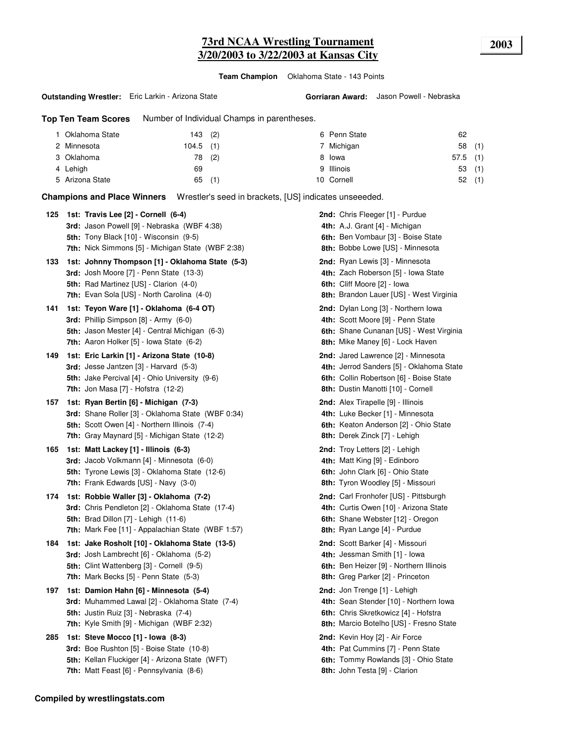# **73rd NCAA Wrestling Tournament 2003 3/20/2003 to 3/22/2003 at Kansas City**

**Team Champion** Oklahoma State - 143 Points

#### **Outstanding Wrestler:** Eric Larkin - Arizona State

**Top Ten Team Scores** Number of Individual Champs in parentheses.

| 1 Oklahoma State | 143(2)      | 6 Penn State | 62         |     |
|------------------|-------------|--------------|------------|-----|
| 2 Minnesota      | $104.5$ (1) | 7 Michigan   | 58         | (1) |
| 3 Oklahoma       | (2)<br>78   | 8 Iowa       | $57.5$ (1) |     |
| 4 Lehigh         | 69          | 9 Illinois   | 53         | (1) |
| 5 Arizona State  | (1)<br>65   | 10 Cornell   | 52         | (1) |

**Champions and Place Winners** Wrestler's seed in brackets, [US] indicates unseeeded.

| 125 | 1st: Travis Lee [2] - Cornell (6-4)                                                          | 2nd: Chris Fleeger [1] - Purdue                                       |
|-----|----------------------------------------------------------------------------------------------|-----------------------------------------------------------------------|
|     | 3rd: Jason Powell [9] - Nebraska (WBF 4:38)<br><b>5th:</b> Tony Black [10] - Wisconsin (9-5) | 4th: A.J. Grant [4] - Michigan<br>6th: Ben Vombaur [3] - Boise State  |
|     | <b>7th:</b> Nick Simmons [5] - Michigan State (WBF 2:38)                                     | <b>8th: Bobbe Lowe [US] - Minnesota</b>                               |
| 133 | 1st: Johnny Thompson [1] - Oklahoma State (5-3)                                              | <b>2nd:</b> Ryan Lewis [3] - Minnesota                                |
|     | 3rd: Josh Moore [7] - Penn State (13-3)                                                      | 4th: Zach Roberson [5] - Iowa State                                   |
|     | <b>5th:</b> Rad Martinez [US] - Clarion (4-0)                                                | 6th: Cliff Moore [2] - Iowa                                           |
|     | 7th: Evan Sola [US] - North Carolina (4-0)                                                   | 8th: Brandon Lauer [US] - West Virginia                               |
| 141 | 1st: Teyon Ware [1] - Oklahoma (6-4 OT)                                                      | 2nd: Dylan Long [3] - Northern Iowa                                   |
|     | 3rd: Phillip Simpson [8] - Army (6-0)                                                        | 4th: Scott Moore [9] - Penn State                                     |
|     | <b>5th:</b> Jason Mester [4] - Central Michigan (6-3)                                        | 6th: Shane Cunanan [US] - West Virginia                               |
|     | <b>7th:</b> Aaron Holker [5] - Iowa State (6-2)                                              | 8th: Mike Maney [6] - Lock Haven                                      |
| 149 | 1st: Eric Larkin [1] - Arizona State (10-8)                                                  | 2nd: Jared Lawrence [2] - Minnesota                                   |
|     | <b>3rd:</b> Jesse Jantzen $[3]$ - Harvard $(5-3)$                                            | 4th: Jerrod Sanders [5] - Oklahoma State                              |
|     | 5th: Jake Percival [4] - Ohio University (9-6)                                               | 6th: Collin Robertson [6] - Boise State                               |
|     | <b>7th: Jon Masa [7] - Hofstra (12-2)</b>                                                    | 8th: Dustin Manotti [10] - Cornell                                    |
| 157 | 1st: Ryan Bertin [6] - Michigan (7-3)                                                        | 2nd: Alex Tirapelle [9] - Illinois                                    |
|     | 3rd: Shane Roller [3] - Oklahoma State (WBF 0:34)                                            | 4th: Luke Becker [1] - Minnesota                                      |
|     | <b>5th:</b> Scott Owen [4] - Northern Illinois (7-4)                                         | 6th: Keaton Anderson [2] - Ohio State                                 |
|     | 7th: Gray Maynard [5] - Michigan State (12-2)                                                | 8th: Derek Zinck [7] - Lehigh                                         |
| 165 | 1st: Matt Lackey [1] - Illinois (6-3)                                                        | 2nd: Troy Letters [2] - Lehigh                                        |
|     | 3rd: Jacob Volkmann [4] - Minnesota (6-0)                                                    | 4th: Matt King [9] - Edinboro                                         |
|     | <b>5th:</b> Tyrone Lewis [3] - Oklahoma State (12-6)                                         | 6th: John Clark [6] - Ohio State                                      |
|     | <b>7th:</b> Frank Edwards [US] - Navy (3-0)                                                  | 8th: Tyron Woodley [5] - Missouri                                     |
| 174 | 1st: Robbie Waller [3] - Oklahoma (7-2)                                                      | <b>2nd:</b> Carl Fronhofer [US] - Pittsburgh                          |
|     | 3rd: Chris Pendleton [2] - Oklahoma State (17-4)                                             | 4th: Curtis Owen [10] - Arizona State                                 |
|     | <b>5th:</b> Brad Dillon [7] - Lehigh (11-6)                                                  | 6th: Shane Webster [12] - Oregon                                      |
|     | 7th: Mark Fee [11] - Appalachian State (WBF 1:57)                                            | 8th: Ryan Lange [4] - Purdue                                          |
| 184 | 1st: Jake Rosholt [10] - Oklahoma State (13-5)                                               | 2nd: Scott Barker [4] - Missouri                                      |
|     | 3rd: Josh Lambrecht [6] - Oklahoma (5-2)                                                     | 4th: Jessman Smith [1] - Iowa                                         |
|     | 5th: Clint Wattenberg [3] - Cornell (9-5)                                                    | 6th: Ben Heizer [9] - Northern Illinois                               |
|     | <b>7th:</b> Mark Becks [5] - Penn State (5-3)                                                | 8th: Greg Parker [2] - Princeton                                      |
| 197 | 1st: Damion Hahn [6] - Minnesota (5-4)                                                       | 2nd: Jon Trenge [1] - Lehigh                                          |
|     | 3rd: Muhammed Lawal [2] - Oklahoma State (7-4)                                               | 4th: Sean Stender [10] - Northern Iowa                                |
|     | 5th: Justin Ruiz [3] - Nebraska (7-4)                                                        | 6th: Chris Skretkowicz [4] - Hofstra                                  |
|     | 7th: Kyle Smith [9] - Michigan (WBF 2:32)                                                    | 8th: Marcio Botelho [US] - Fresno State                               |
| 285 | 1st: Steve Mocco [1] - Iowa (8-3)                                                            | <b>2nd:</b> Kevin Hoy [2] - Air Force                                 |
|     | 3rd: Boe Rushton [5] - Boise State (10-8)                                                    | 4th: Pat Cummins [7] - Penn State                                     |
|     | 5th: Kellan Fluckiger [4] - Arizona State (WFT)<br>7th: Matt Feast [6] - Pennsylvania (8-6)  | 6th: Tommy Rowlands [3] - Ohio State<br>8th: John Testa [9] - Clarion |
|     |                                                                                              |                                                                       |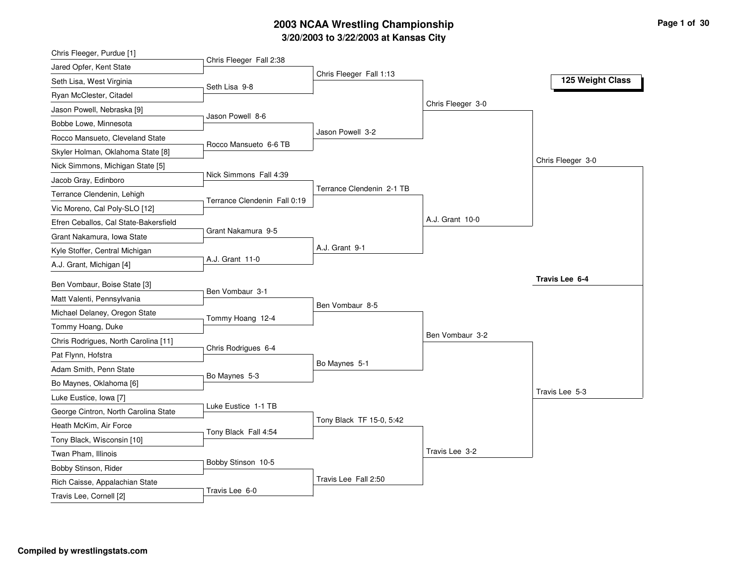# **3/20/2003 to 3/22/2003 at Kansas City 2003 NCAA Wrestling Championship Page <sup>1</sup> of <sup>30</sup>**

| Chris Fleeger, Purdue [1]                          |                              |                           |                   |                   |
|----------------------------------------------------|------------------------------|---------------------------|-------------------|-------------------|
| Jared Opfer, Kent State                            | Chris Fleeger Fall 2:38      |                           |                   |                   |
| Seth Lisa, West Virginia                           | Seth Lisa 9-8                | Chris Fleeger Fall 1:13   |                   | 125 Weight Class  |
| Ryan McClester, Citadel                            |                              |                           |                   |                   |
| Jason Powell, Nebraska [9]                         |                              |                           | Chris Fleeger 3-0 |                   |
| Bobbe Lowe, Minnesota                              | Jason Powell 8-6             |                           |                   |                   |
| Rocco Mansueto, Cleveland State                    |                              | Jason Powell 3-2          |                   |                   |
| Skyler Holman, Oklahoma State [8]                  | Rocco Mansueto 6-6 TB        |                           |                   |                   |
| Nick Simmons, Michigan State [5]                   |                              |                           |                   | Chris Fleeger 3-0 |
| Jacob Gray, Edinboro                               | Nick Simmons Fall 4:39       |                           |                   |                   |
| Terrance Clendenin, Lehigh                         |                              | Terrance Clendenin 2-1 TB |                   |                   |
| Vic Moreno, Cal Poly-SLO [12]                      | Terrance Clendenin Fall 0:19 |                           |                   |                   |
| Efren Ceballos, Cal State-Bakersfield              |                              |                           | A.J. Grant 10-0   |                   |
| Grant Nakamura, Iowa State                         | Grant Nakamura 9-5           |                           |                   |                   |
| Kyle Stoffer, Central Michigan                     |                              | A.J. Grant 9-1            |                   |                   |
| A.J. Grant, Michigan [4]                           | A.J. Grant 11-0              |                           |                   |                   |
| Ben Vombaur, Boise State [3]                       |                              |                           |                   | Travis Lee 6-4    |
| Matt Valenti, Pennsylvania                         | Ben Vombaur 3-1              |                           |                   |                   |
|                                                    |                              | Ben Vombaur 8-5           |                   |                   |
| Michael Delaney, Oregon State<br>Tommy Hoang, Duke | Tommy Hoang 12-4             |                           |                   |                   |
|                                                    |                              |                           | Ben Vombaur 3-2   |                   |
| Chris Rodrigues, North Carolina [11]               | Chris Rodrigues 6-4          |                           |                   |                   |
| Pat Flynn, Hofstra                                 |                              | Bo Maynes 5-1             |                   |                   |
| Adam Smith, Penn State                             | Bo Maynes 5-3                |                           |                   |                   |
| Bo Maynes, Oklahoma [6]                            |                              |                           |                   | Travis Lee 5-3    |
| Luke Eustice, Iowa [7]                             | Luke Eustice 1-1 TB          |                           |                   |                   |
| George Cintron, North Carolina State               |                              | Tony Black TF 15-0, 5:42  |                   |                   |
| Heath McKim, Air Force                             | Tony Black Fall 4:54         |                           |                   |                   |
| Tony Black, Wisconsin [10]                         |                              |                           | Travis Lee 3-2    |                   |
| Twan Pham, Illinois                                | Bobby Stinson 10-5           |                           |                   |                   |
| Bobby Stinson, Rider                               |                              | Travis Lee Fall 2:50      |                   |                   |
| Rich Caisse, Appalachian State                     | Travis Lee 6-0               |                           |                   |                   |
| Travis Lee, Cornell [2]                            |                              |                           |                   |                   |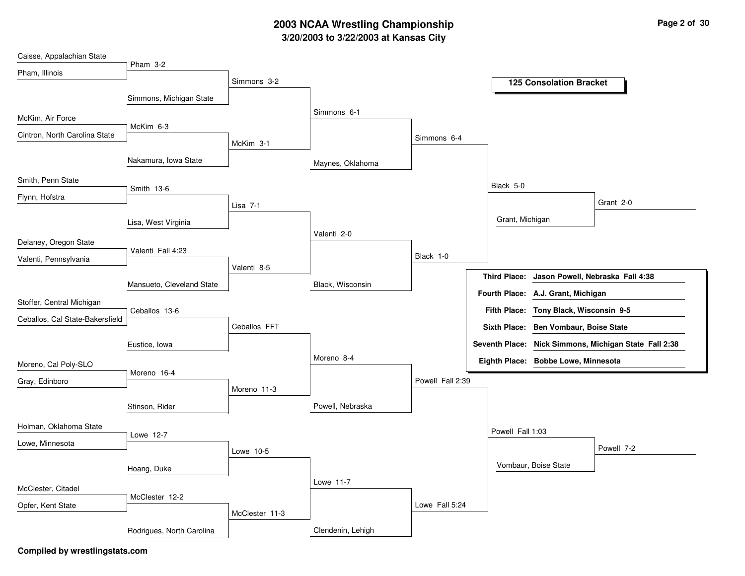### **3/20/2003 to 3/22/2003 at Kansas City 2003 NCAA Wrestling Championship Page <sup>2</sup> of <sup>30</sup>**

| Caisse, Appalachian State       |                           |                |                   |                  |                  |                                                       |
|---------------------------------|---------------------------|----------------|-------------------|------------------|------------------|-------------------------------------------------------|
| Pham, Illinois                  | Pham 3-2                  |                |                   |                  |                  |                                                       |
|                                 |                           | Simmons 3-2    |                   |                  |                  | <b>125 Consolation Bracket</b>                        |
|                                 | Simmons, Michigan State   |                |                   |                  |                  |                                                       |
| McKim, Air Force                |                           |                | Simmons 6-1       |                  |                  |                                                       |
| Cintron, North Carolina State   | McKim 6-3                 |                |                   | Simmons 6-4      |                  |                                                       |
|                                 |                           | McKim 3-1      |                   |                  |                  |                                                       |
|                                 | Nakamura, Iowa State      |                | Maynes, Oklahoma  |                  |                  |                                                       |
| Smith, Penn State               |                           |                |                   |                  | Black 5-0        |                                                       |
| Flynn, Hofstra                  | Smith 13-6                |                |                   |                  |                  | Grant 2-0                                             |
|                                 |                           | Lisa 7-1       |                   |                  |                  |                                                       |
|                                 | Lisa, West Virginia       |                | Valenti 2-0       |                  | Grant, Michigan  |                                                       |
| Delaney, Oregon State           | Valenti Fall 4:23         |                |                   |                  |                  |                                                       |
| Valenti, Pennsylvania           |                           |                |                   | Black 1-0        |                  |                                                       |
|                                 |                           | Valenti 8-5    |                   |                  | Third Place:     | Jason Powell, Nebraska Fall 4:38                      |
|                                 | Mansueto, Cleveland State |                | Black, Wisconsin  |                  |                  | Fourth Place: A.J. Grant, Michigan                    |
| Stoffer, Central Michigan       | Ceballos 13-6             |                |                   |                  |                  | Fifth Place: Tony Black, Wisconsin 9-5                |
| Ceballos, Cal State-Bakersfield |                           | Ceballos FFT   |                   |                  |                  | Sixth Place: Ben Vombaur, Boise State                 |
|                                 |                           |                |                   |                  |                  | Seventh Place: Nick Simmons, Michigan State Fall 2:38 |
|                                 | Eustice, Iowa             |                | Moreno 8-4        |                  |                  |                                                       |
| Moreno, Cal Poly-SLO            | Moreno 16-4               |                |                   |                  |                  | Eighth Place: Bobbe Lowe, Minnesota                   |
| Gray, Edinboro                  |                           | Moreno 11-3    |                   | Powell Fall 2:39 |                  |                                                       |
|                                 |                           |                | Powell, Nebraska  |                  |                  |                                                       |
|                                 | Stinson, Rider            |                |                   |                  |                  |                                                       |
| Holman, Oklahoma State          | Lowe 12-7                 |                |                   |                  | Powell Fall 1:03 |                                                       |
| Lowe, Minnesota                 |                           | Lowe 10-5      |                   |                  |                  | Powell 7-2                                            |
|                                 |                           |                |                   |                  |                  | Vombaur, Boise State                                  |
|                                 | Hoang, Duke               |                | Lowe 11-7         |                  |                  |                                                       |
| McClester, Citadel              | McClester 12-2            |                |                   |                  |                  |                                                       |
| Opfer, Kent State               |                           | McClester 11-3 |                   | Lowe Fall 5:24   |                  |                                                       |
|                                 |                           |                |                   |                  |                  |                                                       |
|                                 | Rodrigues, North Carolina |                | Clendenin, Lehigh |                  |                  |                                                       |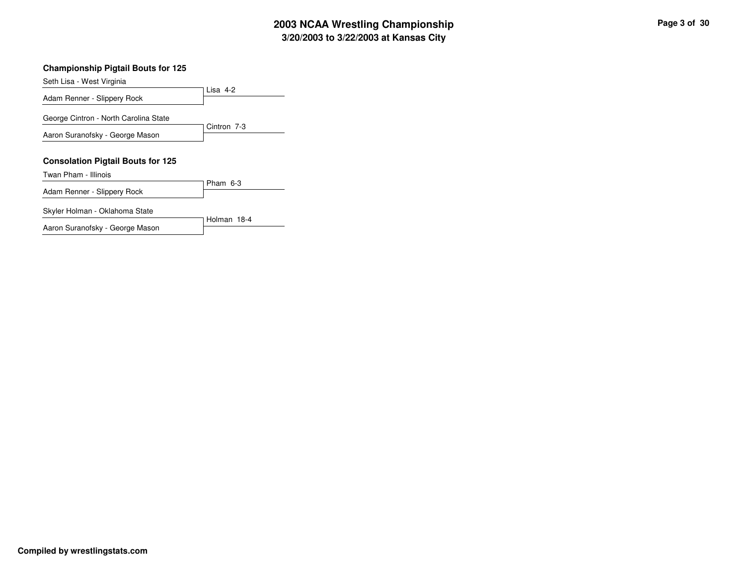# **3/20/2003 to 3/22/2003 at Kansas City 2003 NCAA Wrestling Championship Page <sup>3</sup> of <sup>30</sup>**

#### **Championship Pigtail Bouts for 125**

Lisa 4-2 Seth Lisa - West Virginia Adam Renner - Slippery Rock Cintron 7-3 George Cintron - North Carolina State Aaron Suranofsky - George Mason **Consolation Pigtail Bouts for 125** Pham 6-3 Twan Pham - Illinois Adam Renner - Slippery Rock Skyler Holman - Oklahoma State

Holman 18-4

Aaron Suranofsky - George Mason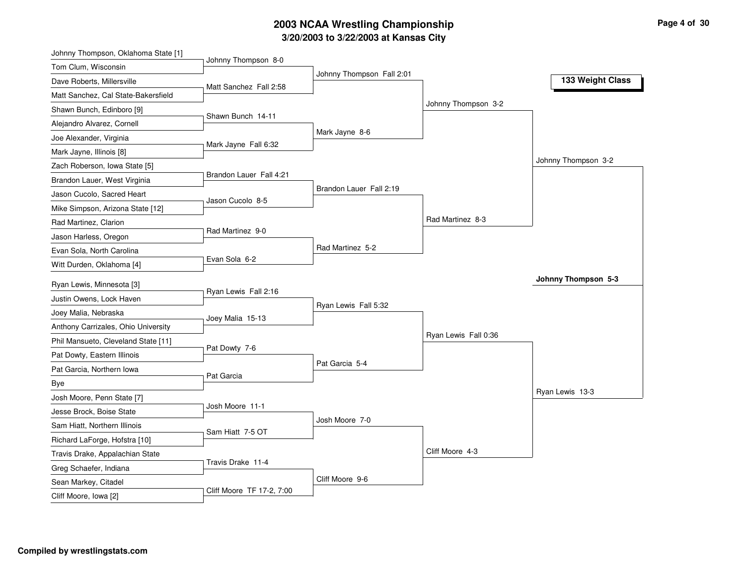# **3/20/2003 to 3/22/2003 at Kansas City 2003 NCAA Wrestling Championship Page <sup>4</sup> of <sup>30</sup>**

| Johnny Thompson, Oklahoma State [1] |                           |                           |                      |                     |
|-------------------------------------|---------------------------|---------------------------|----------------------|---------------------|
| Tom Clum, Wisconsin                 | Johnny Thompson 8-0       |                           |                      |                     |
| Dave Roberts, Millersville          | Matt Sanchez Fall 2:58    | Johnny Thompson Fall 2:01 |                      | 133 Weight Class    |
| Matt Sanchez, Cal State-Bakersfield |                           |                           |                      |                     |
| Shawn Bunch, Edinboro [9]           |                           |                           | Johnny Thompson 3-2  |                     |
| Alejandro Alvarez, Cornell          | Shawn Bunch 14-11         |                           |                      |                     |
| Joe Alexander, Virginia             |                           | Mark Jayne 8-6            |                      |                     |
| Mark Jayne, Illinois [8]            | Mark Jayne Fall 6:32      |                           |                      |                     |
| Zach Roberson, Iowa State [5]       |                           |                           |                      | Johnny Thompson 3-2 |
| Brandon Lauer, West Virginia        | Brandon Lauer Fall 4:21   |                           |                      |                     |
| Jason Cucolo, Sacred Heart          | Jason Cucolo 8-5          | Brandon Lauer Fall 2:19   |                      |                     |
| Mike Simpson, Arizona State [12]    |                           |                           |                      |                     |
| Rad Martinez, Clarion               |                           |                           | Rad Martinez 8-3     |                     |
| Jason Harless, Oregon               | Rad Martinez 9-0          |                           |                      |                     |
| Evan Sola, North Carolina           |                           | Rad Martinez 5-2          |                      |                     |
| Witt Durden, Oklahoma [4]           | Evan Sola 6-2             |                           |                      |                     |
| Ryan Lewis, Minnesota [3]           |                           |                           |                      | Johnny Thompson 5-3 |
| Justin Owens, Lock Haven            | Ryan Lewis Fall 2:16      |                           |                      |                     |
| Joey Malia, Nebraska                |                           | Ryan Lewis Fall 5:32      |                      |                     |
| Anthony Carrizales, Ohio University | Joey Malia 15-13          |                           |                      |                     |
| Phil Mansueto, Cleveland State [11] |                           |                           | Ryan Lewis Fall 0:36 |                     |
| Pat Dowty, Eastern Illinois         | Pat Dowty 7-6             |                           |                      |                     |
| Pat Garcia, Northern Iowa           |                           | Pat Garcia 5-4            |                      |                     |
| Bye                                 | Pat Garcia                |                           |                      |                     |
| Josh Moore, Penn State [7]          |                           |                           |                      | Ryan Lewis 13-3     |
| Jesse Brock, Boise State            | Josh Moore 11-1           |                           |                      |                     |
| Sam Hiatt, Northern Illinois        |                           | Josh Moore 7-0            |                      |                     |
| Richard LaForge, Hofstra [10]       | Sam Hiatt 7-5 OT          |                           |                      |                     |
| Travis Drake, Appalachian State     |                           |                           | Cliff Moore 4-3      |                     |
| Greg Schaefer, Indiana              | Travis Drake 11-4         |                           |                      |                     |
| Sean Markey, Citadel                |                           | Cliff Moore 9-6           |                      |                     |
| Cliff Moore, Iowa [2]               | Cliff Moore TF 17-2, 7:00 |                           |                      |                     |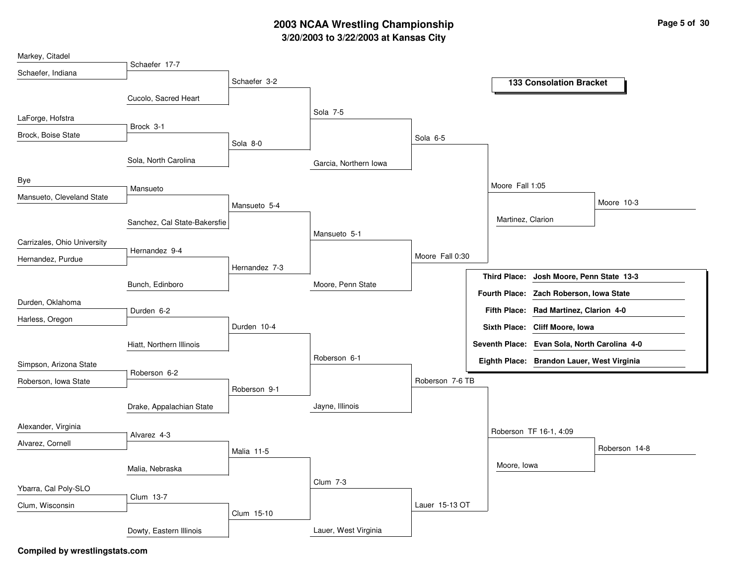## **3/20/2003 to 3/22/2003 at Kansas City 2003 NCAA Wrestling Championship Page <sup>5</sup> of <sup>30</sup>**

| Markey, Citadel             |                              |               |                       |                 |                      |                                            |                                              |
|-----------------------------|------------------------------|---------------|-----------------------|-----------------|----------------------|--------------------------------------------|----------------------------------------------|
| Schaefer, Indiana           | Schaefer 17-7                |               |                       |                 |                      |                                            |                                              |
|                             |                              | Schaefer 3-2  |                       |                 |                      | <b>133 Consolation Bracket</b>             |                                              |
|                             | Cucolo, Sacred Heart         |               |                       |                 |                      |                                            |                                              |
| LaForge, Hofstra            |                              |               | Sola 7-5              |                 |                      |                                            |                                              |
| Brock, Boise State          | Brock 3-1                    |               |                       | Sola 6-5        |                      |                                            |                                              |
|                             |                              | Sola 8-0      |                       |                 |                      |                                            |                                              |
|                             | Sola, North Carolina         |               | Garcia, Northern Iowa |                 |                      |                                            |                                              |
| Bye                         |                              |               |                       |                 | Moore Fall 1:05      |                                            |                                              |
| Mansueto, Cleveland State   | Mansueto                     |               |                       |                 |                      |                                            |                                              |
|                             |                              | Mansueto 5-4  |                       |                 |                      |                                            | Moore 10-3                                   |
|                             | Sanchez, Cal State-Bakersfie |               |                       |                 | Martinez, Clarion    |                                            |                                              |
| Carrizales, Ohio University |                              |               | Mansueto 5-1          |                 |                      |                                            |                                              |
| Hernandez, Purdue           | Hernandez 9-4                |               |                       | Moore Fall 0:30 |                      |                                            |                                              |
|                             |                              | Hernandez 7-3 |                       |                 | <b>Third Place:</b>  |                                            | Josh Moore, Penn State 13-3                  |
|                             | Bunch, Edinboro              |               | Moore, Penn State     |                 |                      |                                            |                                              |
| Durden, Oklahoma            |                              |               |                       |                 | <b>Fourth Place:</b> | Zach Roberson, Iowa State                  |                                              |
| Harless, Oregon             | Durden 6-2                   |               |                       |                 |                      | Fifth Place: Rad Martinez, Clarion 4-0     |                                              |
|                             |                              | Durden 10-4   |                       |                 |                      | Sixth Place: Cliff Moore, Iowa             |                                              |
|                             | Hiatt, Northern Illinois     |               |                       |                 |                      |                                            | Seventh Place: Evan Sola, North Carolina 4-0 |
| Simpson, Arizona State      |                              |               | Roberson 6-1          |                 |                      | Eighth Place: Brandon Lauer, West Virginia |                                              |
| Roberson, Iowa State        | Roberson 6-2                 |               |                       | Roberson 7-6 TB |                      |                                            |                                              |
|                             |                              | Roberson 9-1  |                       |                 |                      |                                            |                                              |
|                             | Drake, Appalachian State     |               | Jayne, Illinois       |                 |                      |                                            |                                              |
| Alexander, Virginia         |                              |               |                       |                 |                      |                                            |                                              |
|                             | Alvarez 4-3                  |               |                       |                 |                      | Roberson TF 16-1, 4:09                     |                                              |
| Alvarez, Cornell            |                              | Malia 11-5    |                       |                 |                      |                                            | Roberson 14-8                                |
|                             | Malia, Nebraska              |               |                       |                 | Moore, Iowa          |                                            |                                              |
|                             |                              |               | <b>Clum 7-3</b>       |                 |                      |                                            |                                              |
| Ybarra, Cal Poly-SLO        | Clum 13-7                    |               |                       |                 |                      |                                            |                                              |
| Clum, Wisconsin             |                              | Clum 15-10    |                       | Lauer 15-13 OT  |                      |                                            |                                              |
|                             | Dowty, Eastern Illinois      |               | Lauer, West Virginia  |                 |                      |                                            |                                              |
|                             |                              |               |                       |                 |                      |                                            |                                              |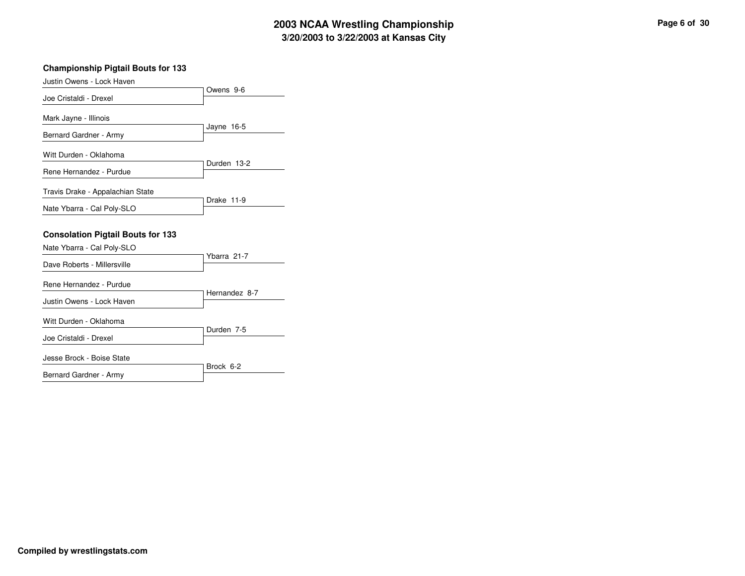# **3/20/2003 to 3/22/2003 at Kansas City 2003 NCAA Wrestling Championship Page <sup>6</sup> of <sup>30</sup>**

#### **Championship Pigtail Bouts for 133**

| Justin Owens - Lock Haven                                              |               |
|------------------------------------------------------------------------|---------------|
| Joe Cristaldi - Drexel                                                 | Owens 9-6     |
| Mark Jayne - Illinois                                                  |               |
| Bernard Gardner - Army                                                 | Jayne 16-5    |
| Witt Durden - Oklahoma                                                 |               |
| Rene Hernandez - Purdue                                                | Durden 13-2   |
| Travis Drake - Appalachian State                                       | Drake 11-9    |
| Nate Ybarra - Cal Poly-SLO                                             |               |
| <b>Consolation Pigtail Bouts for 133</b><br>Nate Ybarra - Cal Poly-SLO |               |
| Dave Roberts - Millersville                                            | Ybarra 21-7   |
| Rene Hernandez - Purdue                                                | Hernandez 8-7 |
| Justin Owens - Lock Haven                                              |               |
| Witt Durden - Oklahoma                                                 | Durden 7-5    |
| Joe Cristaldi - Drexel                                                 |               |
| Jesse Brock - Boise State                                              | Brock 6-2     |
| Bernard Gardner - Army                                                 |               |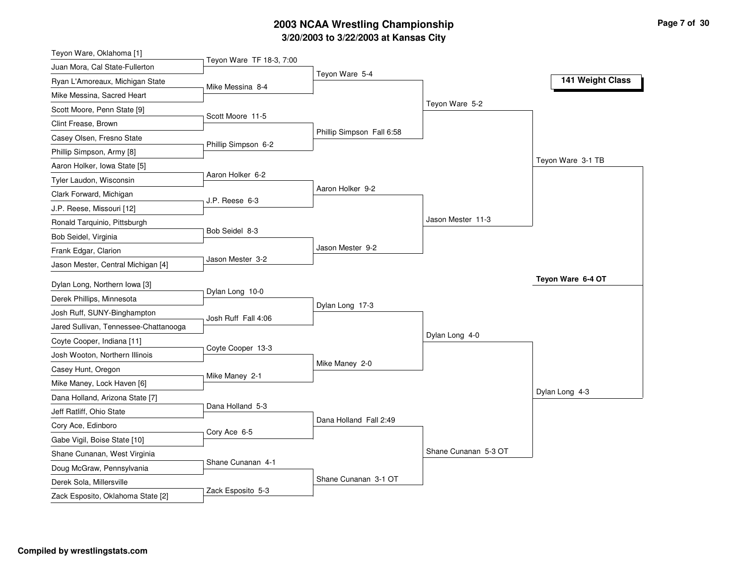# **3/20/2003 to 3/22/2003 at Kansas City 2003 NCAA Wrestling Championship Page <sup>7</sup> of <sup>30</sup>**

| Teyon Ware, Oklahoma [1]                                      |                          |                           |                      |                   |
|---------------------------------------------------------------|--------------------------|---------------------------|----------------------|-------------------|
| Juan Mora, Cal State-Fullerton                                | Teyon Ware TF 18-3, 7:00 |                           |                      |                   |
| Ryan L'Amoreaux, Michigan State                               | Mike Messina 8-4         | Teyon Ware 5-4            |                      | 141 Weight Class  |
| Mike Messina, Sacred Heart                                    |                          |                           |                      |                   |
| Scott Moore, Penn State [9]                                   |                          |                           | Teyon Ware 5-2       |                   |
| Clint Frease, Brown                                           | Scott Moore 11-5         |                           |                      |                   |
| Casey Olsen, Fresno State                                     |                          | Phillip Simpson Fall 6:58 |                      |                   |
| Phillip Simpson, Army [8]                                     | Phillip Simpson 6-2      |                           |                      |                   |
| Aaron Holker, Iowa State [5]                                  |                          |                           |                      | Teyon Ware 3-1 TB |
| Tyler Laudon, Wisconsin                                       | Aaron Holker 6-2         |                           |                      |                   |
| Clark Forward, Michigan                                       |                          | Aaron Holker 9-2          |                      |                   |
| J.P. Reese, Missouri [12]                                     | J.P. Reese 6-3           |                           |                      |                   |
| Ronald Tarquinio, Pittsburgh                                  |                          |                           | Jason Mester 11-3    |                   |
| Bob Seidel, Virginia                                          | Bob Seidel 8-3           |                           |                      |                   |
| Frank Edgar, Clarion                                          |                          | Jason Mester 9-2          |                      |                   |
| Jason Mester, Central Michigan [4]                            | Jason Mester 3-2         |                           |                      |                   |
| Dylan Long, Northern Iowa [3]                                 |                          |                           |                      | Teyon Ware 6-4 OT |
| Derek Phillips, Minnesota                                     | Dylan Long 10-0          |                           |                      |                   |
| Josh Ruff, SUNY-Binghampton                                   |                          | Dylan Long 17-3           |                      |                   |
|                                                               | Josh Ruff Fall 4:06      |                           |                      |                   |
|                                                               |                          |                           |                      |                   |
| Jared Sullivan, Tennessee-Chattanooga                         |                          |                           | Dylan Long 4-0       |                   |
| Coyte Cooper, Indiana [11]                                    | Coyte Cooper 13-3        |                           |                      |                   |
| Josh Wooton, Northern Illinois                                |                          | Mike Maney 2-0            |                      |                   |
| Casey Hunt, Oregon                                            | Mike Maney 2-1           |                           |                      |                   |
| Mike Maney, Lock Haven [6]                                    |                          |                           |                      | Dylan Long 4-3    |
| Dana Holland, Arizona State [7]                               | Dana Holland 5-3         |                           |                      |                   |
| Jeff Ratliff, Ohio State                                      |                          | Dana Holland Fall 2:49    |                      |                   |
| Cory Ace, Edinboro                                            | Cory Ace 6-5             |                           |                      |                   |
| Gabe Vigil, Boise State [10]                                  |                          |                           |                      |                   |
| Shane Cunanan, West Virginia                                  | Shane Cunanan 4-1        |                           | Shane Cunanan 5-3 OT |                   |
| Doug McGraw, Pennsylvania                                     |                          |                           |                      |                   |
| Derek Sola, Millersville<br>Zack Esposito, Oklahoma State [2] | Zack Esposito 5-3        | Shane Cunanan 3-1 OT      |                      |                   |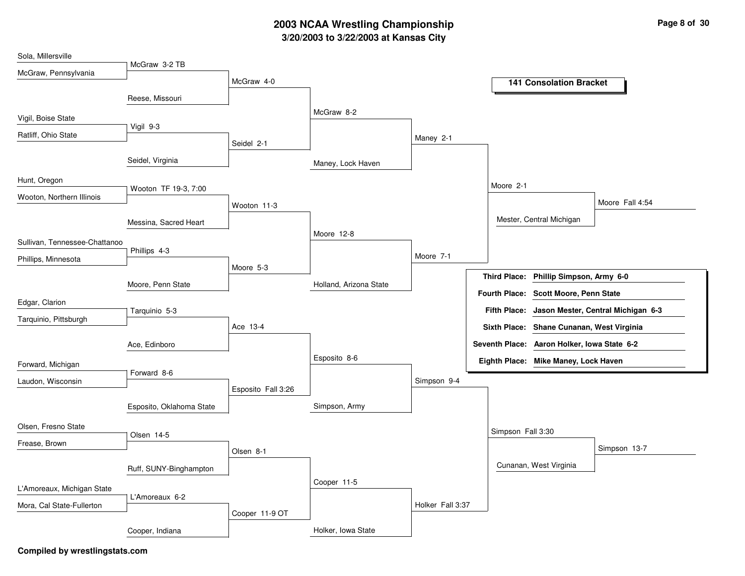# **3/20/2003 to 3/22/2003 at Kansas City 2003 NCAA Wrestling Championship Page <sup>8</sup> of <sup>30</sup>**

| Sola, Millersville            |                          |                    |                        |                  |                                                 |
|-------------------------------|--------------------------|--------------------|------------------------|------------------|-------------------------------------------------|
| McGraw, Pennsylvania          | McGraw 3-2 TB            |                    |                        |                  |                                                 |
|                               |                          | McGraw 4-0         |                        |                  | <b>141 Consolation Bracket</b>                  |
|                               | Reese, Missouri          |                    |                        |                  |                                                 |
| Vigil, Boise State            |                          |                    | McGraw 8-2             |                  |                                                 |
| Ratliff, Ohio State           | Vigil 9-3                |                    |                        |                  |                                                 |
|                               |                          | Seidel 2-1         |                        | Maney 2-1        |                                                 |
|                               | Seidel, Virginia         |                    | Maney, Lock Haven      |                  |                                                 |
| Hunt, Oregon                  |                          |                    |                        |                  |                                                 |
| Wooton, Northern Illinois     | Wooton TF 19-3, 7:00     |                    |                        |                  | Moore 2-1                                       |
|                               |                          | Wooton 11-3        |                        |                  | Moore Fall 4:54                                 |
|                               | Messina, Sacred Heart    |                    |                        |                  | Mester, Central Michigan                        |
| Sullivan, Tennessee-Chattanoo |                          |                    | Moore 12-8             |                  |                                                 |
|                               | Phillips 4-3             |                    |                        | Moore 7-1        |                                                 |
| Phillips, Minnesota           |                          | Moore 5-3          |                        |                  |                                                 |
|                               | Moore, Penn State        |                    | Holland, Arizona State |                  | Third Place: Phillip Simpson, Army 6-0          |
| Edgar, Clarion                |                          |                    |                        |                  | Fourth Place: Scott Moore, Penn State           |
| Tarquinio, Pittsburgh         | Tarquinio 5-3            |                    |                        |                  | Fifth Place: Jason Mester, Central Michigan 6-3 |
|                               |                          | Ace 13-4           |                        |                  | Sixth Place: Shane Cunanan, West Virginia       |
|                               | Ace, Edinboro            |                    |                        |                  | Seventh Place: Aaron Holker, Iowa State 6-2     |
| Forward, Michigan             |                          |                    | Esposito 8-6           |                  | Eighth Place: Mike Maney, Lock Haven            |
|                               | Forward 8-6              |                    |                        |                  |                                                 |
| Laudon, Wisconsin             |                          | Esposito Fall 3:26 |                        | Simpson 9-4      |                                                 |
|                               | Esposito, Oklahoma State |                    | Simpson, Army          |                  |                                                 |
| Olsen, Fresno State           |                          |                    |                        |                  |                                                 |
|                               | Olsen 14-5               |                    |                        |                  | Simpson Fall 3:30                               |
| Frease, Brown                 |                          | Olsen 8-1          |                        |                  | Simpson 13-7                                    |
|                               | Ruff, SUNY-Binghampton   |                    |                        |                  | Cunanan, West Virginia                          |
|                               |                          |                    | Cooper 11-5            |                  |                                                 |
| L'Amoreaux, Michigan State    | L'Amoreaux 6-2           |                    |                        |                  |                                                 |
| Mora, Cal State-Fullerton     |                          | Cooper 11-9 OT     |                        | Holker Fall 3:37 |                                                 |
|                               | Cooper, Indiana          |                    | Holker, Iowa State     |                  |                                                 |
|                               |                          |                    |                        |                  |                                                 |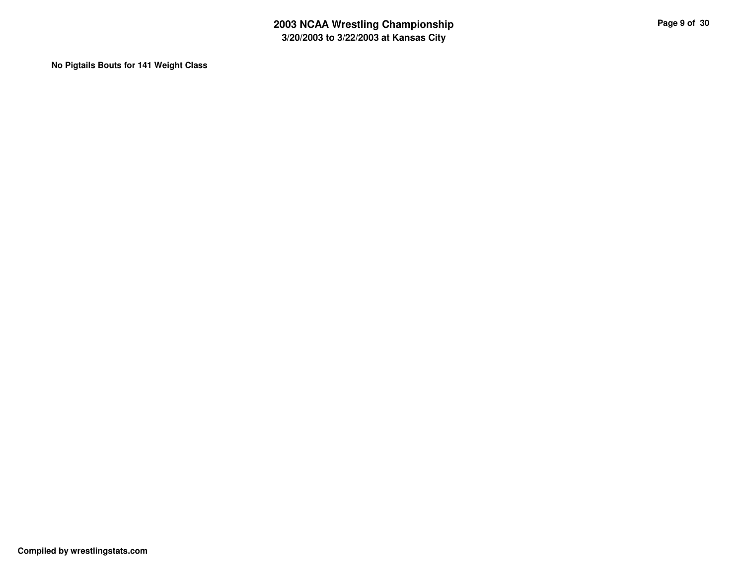**No Pigtails Bouts for 141 Weight Class**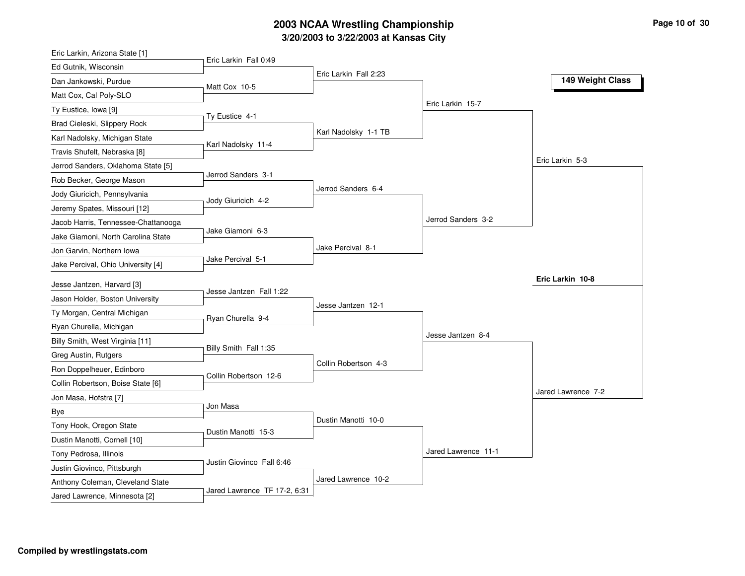# **3/20/2003 to 3/22/2003 at Kansas City 2003 NCAA Wrestling Championship Page <sup>10</sup> of <sup>30</sup>**

| Eric Larkin, Arizona State [1]                                  |                           |                       |                     |                    |
|-----------------------------------------------------------------|---------------------------|-----------------------|---------------------|--------------------|
| Ed Gutnik, Wisconsin                                            | Eric Larkin Fall 0:49     |                       |                     |                    |
| Dan Jankowski, Purdue                                           | Matt Cox 10-5             | Eric Larkin Fall 2:23 |                     | 149 Weight Class   |
| Matt Cox, Cal Poly-SLO                                          |                           |                       |                     |                    |
| Ty Eustice, Iowa [9]                                            |                           |                       | Eric Larkin 15-7    |                    |
| Brad Cieleski, Slippery Rock                                    | Ty Eustice 4-1            |                       |                     |                    |
| Karl Nadolsky, Michigan State                                   |                           | Karl Nadolsky 1-1 TB  |                     |                    |
| Travis Shufelt, Nebraska [8]                                    | Karl Nadolsky 11-4        |                       |                     |                    |
| Jerrod Sanders, Oklahoma State [5]                              |                           |                       |                     | Eric Larkin 5-3    |
| Rob Becker, George Mason                                        | Jerrod Sanders 3-1        |                       |                     |                    |
| Jody Giuricich, Pennsylvania                                    |                           | Jerrod Sanders 6-4    |                     |                    |
| Jeremy Spates, Missouri [12]                                    | Jody Giuricich 4-2        |                       |                     |                    |
| Jacob Harris, Tennessee-Chattanooga                             |                           |                       | Jerrod Sanders 3-2  |                    |
| Jake Giamoni, North Carolina State                              | Jake Giamoni 6-3          |                       |                     |                    |
| Jon Garvin, Northern Iowa                                       |                           | Jake Percival 8-1     |                     |                    |
| Jake Percival, Ohio University [4]                              | Jake Percival 5-1         |                       |                     |                    |
|                                                                 |                           |                       |                     | Eric Larkin 10-8   |
|                                                                 |                           |                       |                     |                    |
| Jesse Jantzen, Harvard [3]                                      | Jesse Jantzen Fall 1:22   |                       |                     |                    |
| Jason Holder, Boston University                                 |                           | Jesse Jantzen 12-1    |                     |                    |
| Ty Morgan, Central Michigan                                     | Ryan Churella 9-4         |                       |                     |                    |
| Ryan Churella, Michigan                                         |                           |                       | Jesse Jantzen 8-4   |                    |
| Billy Smith, West Virginia [11]                                 | Billy Smith Fall 1:35     |                       |                     |                    |
| Greg Austin, Rutgers                                            |                           | Collin Robertson 4-3  |                     |                    |
| Ron Doppelheuer, Edinboro                                       | Collin Robertson 12-6     |                       |                     |                    |
| Collin Robertson, Boise State [6]                               |                           |                       |                     | Jared Lawrence 7-2 |
| Jon Masa, Hofstra [7]                                           | Jon Masa                  |                       |                     |                    |
| <b>Bye</b>                                                      |                           | Dustin Manotti 10-0   |                     |                    |
| Tony Hook, Oregon State                                         | Dustin Manotti 15-3       |                       |                     |                    |
| Dustin Manotti, Cornell [10]                                    |                           |                       | Jared Lawrence 11-1 |                    |
| Tony Pedrosa, Illinois                                          | Justin Giovinco Fall 6:46 |                       |                     |                    |
| Justin Giovinco, Pittsburgh<br>Anthony Coleman, Cleveland State |                           | Jared Lawrence 10-2   |                     |                    |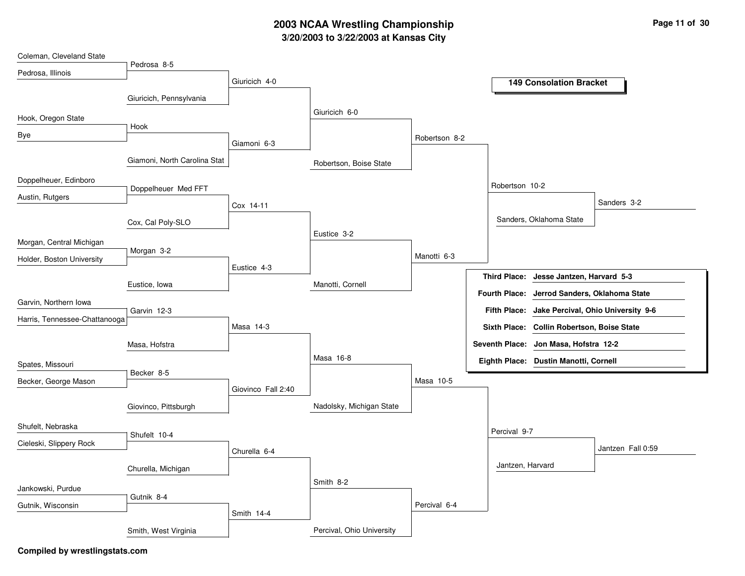# **3/20/2003 to 3/22/2003 at Kansas City 2003 NCAA Wrestling Championship Page <sup>11</sup> of <sup>30</sup>**

| Coleman, Cleveland State      |                              |                    |                           |               |                       |                                            |                                    |
|-------------------------------|------------------------------|--------------------|---------------------------|---------------|-----------------------|--------------------------------------------|------------------------------------|
| Pedrosa, Illinois             | Pedrosa 8-5                  |                    |                           |               |                       |                                            |                                    |
|                               |                              | Giuricich 4-0      |                           |               |                       | <b>149 Consolation Bracket</b>             |                                    |
|                               | Giuricich, Pennsylvania      |                    |                           |               |                       |                                            |                                    |
| Hook, Oregon State            |                              |                    | Giuricich 6-0             |               |                       |                                            |                                    |
| Bye                           | Hook                         |                    |                           | Robertson 8-2 |                       |                                            |                                    |
|                               |                              | Giamoni 6-3        |                           |               |                       |                                            |                                    |
|                               | Giamoni, North Carolina Stat |                    | Robertson, Boise State    |               |                       |                                            |                                    |
| Doppelheuer, Edinboro         |                              |                    |                           |               | Robertson 10-2        |                                            |                                    |
| Austin, Rutgers               | Doppelheuer Med FFT          |                    |                           |               |                       |                                            |                                    |
|                               |                              | Cox 14-11          |                           |               |                       |                                            | Sanders 3-2                        |
|                               | Cox, Cal Poly-SLO            |                    |                           |               |                       | Sanders, Oklahoma State                    |                                    |
| Morgan, Central Michigan      |                              |                    | Eustice 3-2               |               |                       |                                            |                                    |
| Holder, Boston University     | Morgan 3-2                   |                    |                           | Manotti 6-3   |                       |                                            |                                    |
|                               |                              | Eustice 4-3        |                           |               | <b>Third Place:</b>   | Jesse Jantzen, Harvard 5-3                 |                                    |
|                               | Eustice, Iowa                |                    | Manotti, Cornell          |               |                       |                                            |                                    |
| Garvin, Northern Iowa         |                              |                    |                           |               | <b>Fourth Place:</b>  | Jerrod Sanders, Oklahoma State             |                                    |
| Harris, Tennessee-Chattanooga | Garvin 12-3                  |                    |                           |               | <b>Fifth Place:</b>   |                                            | Jake Percival, Ohio University 9-6 |
|                               |                              | Masa 14-3          |                           |               |                       | Sixth Place: Collin Robertson, Boise State |                                    |
|                               | Masa, Hofstra                |                    |                           |               | <b>Seventh Place:</b> | Jon Masa, Hofstra 12-2                     |                                    |
| Spates, Missouri              |                              |                    | Masa 16-8                 |               |                       | Eighth Place: Dustin Manotti, Cornell      |                                    |
| Becker, George Mason          | Becker 8-5                   |                    |                           | Masa 10-5     |                       |                                            |                                    |
|                               |                              | Giovinco Fall 2:40 |                           |               |                       |                                            |                                    |
|                               | Giovinco, Pittsburgh         |                    | Nadolsky, Michigan State  |               |                       |                                            |                                    |
| Shufelt, Nebraska             |                              |                    |                           |               |                       |                                            |                                    |
| Cieleski, Slippery Rock       | Shufelt 10-4                 |                    |                           |               | Percival 9-7          |                                            |                                    |
|                               |                              | Churella 6-4       |                           |               |                       |                                            | Jantzen Fall 0:59                  |
|                               | Churella, Michigan           |                    |                           |               | Jantzen, Harvard      |                                            |                                    |
| Jankowski, Purdue             |                              |                    | Smith 8-2                 |               |                       |                                            |                                    |
|                               | Gutnik 8-4                   |                    |                           |               |                       |                                            |                                    |
| Gutnik, Wisconsin             |                              | Smith 14-4         |                           | Percival 6-4  |                       |                                            |                                    |
|                               | Smith, West Virginia         |                    | Percival, Ohio University |               |                       |                                            |                                    |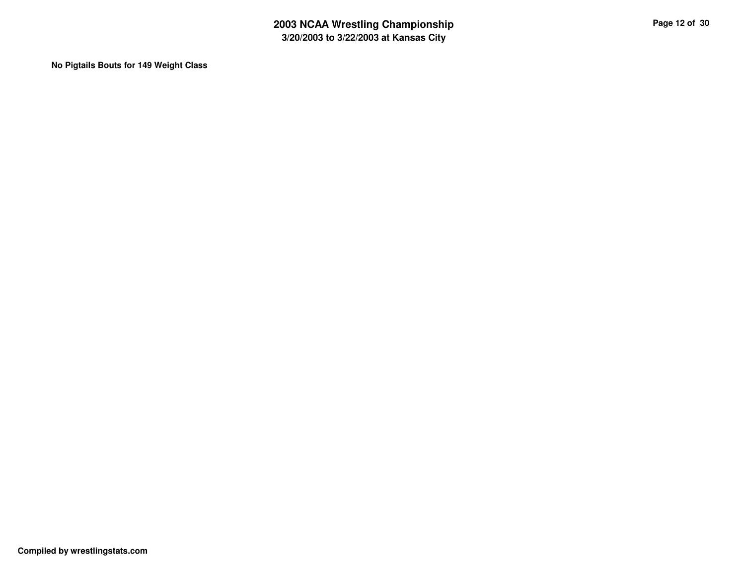**No Pigtails Bouts for 149 Weight Class**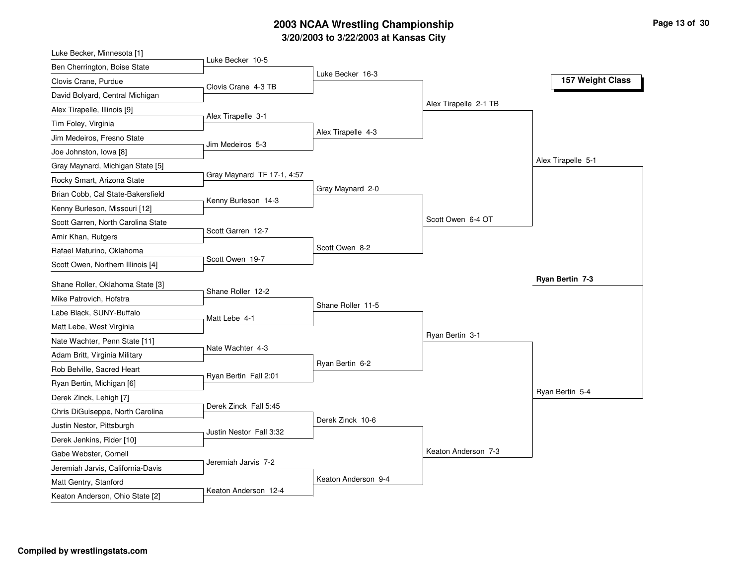# **3/20/2003 to 3/22/2003 at Kansas City 2003 NCAA Wrestling Championship Page <sup>13</sup> of <sup>30</sup>**

| Luke Becker, Minnesota [1]                                  |                            |                     |                       |                    |
|-------------------------------------------------------------|----------------------------|---------------------|-----------------------|--------------------|
| Ben Cherrington, Boise State                                | Luke Becker 10-5           |                     |                       |                    |
| Clovis Crane, Purdue                                        | Clovis Crane 4-3 TB        | Luke Becker 16-3    |                       | 157 Weight Class   |
| David Bolyard, Central Michigan                             |                            |                     |                       |                    |
| Alex Tirapelle, Illinois [9]                                |                            |                     | Alex Tirapelle 2-1 TB |                    |
| Tim Foley, Virginia                                         | Alex Tirapelle 3-1         |                     |                       |                    |
| Jim Medeiros, Fresno State                                  |                            | Alex Tirapelle 4-3  |                       |                    |
| Joe Johnston, Iowa [8]                                      | Jim Medeiros 5-3           |                     |                       |                    |
| Gray Maynard, Michigan State [5]                            |                            |                     |                       | Alex Tirapelle 5-1 |
| Rocky Smart, Arizona State                                  | Gray Maynard TF 17-1, 4:57 |                     |                       |                    |
| Brian Cobb, Cal State-Bakersfield                           |                            | Gray Maynard 2-0    |                       |                    |
| Kenny Burleson, Missouri [12]                               | Kenny Burleson 14-3        |                     |                       |                    |
| Scott Garren, North Carolina State                          |                            |                     | Scott Owen 6-4 OT     |                    |
| Amir Khan, Rutgers                                          | Scott Garren 12-7          |                     |                       |                    |
| Rafael Maturino, Oklahoma                                   |                            | Scott Owen 8-2      |                       |                    |
| Scott Owen, Northern Illinois [4]                           | Scott Owen 19-7            |                     |                       |                    |
|                                                             |                            |                     |                       | Ryan Bertin 7-3    |
| Shane Roller, Oklahoma State [3]<br>Mike Patrovich, Hofstra | Shane Roller 12-2          |                     |                       |                    |
| Labe Black, SUNY-Buffalo                                    |                            | Shane Roller 11-5   |                       |                    |
|                                                             | Matt Lebe 4-1              |                     |                       |                    |
| Matt Lebe, West Virginia                                    |                            |                     | Ryan Bertin 3-1       |                    |
| Nate Wachter, Penn State [11]                               | Nate Wachter 4-3           |                     |                       |                    |
| Adam Britt, Virginia Military                               |                            | Ryan Bertin 6-2     |                       |                    |
| Rob Belville, Sacred Heart                                  | Ryan Bertin Fall 2:01      |                     |                       |                    |
| Ryan Bertin, Michigan [6]                                   |                            |                     |                       | Ryan Bertin 5-4    |
| Derek Zinck, Lehigh [7]                                     | Derek Zinck Fall 5:45      |                     |                       |                    |
| Chris DiGuiseppe, North Carolina                            |                            | Derek Zinck 10-6    |                       |                    |
| Justin Nestor, Pittsburgh                                   | Justin Nestor Fall 3:32    |                     |                       |                    |
| Derek Jenkins, Rider [10]                                   |                            |                     | Keaton Anderson 7-3   |                    |
| Gabe Webster, Cornell                                       |                            |                     |                       |                    |
|                                                             | Jeremiah Jarvis 7-2        |                     |                       |                    |
| Jeremiah Jarvis, California-Davis                           |                            |                     |                       |                    |
| Matt Gentry, Stanford<br>Keaton Anderson, Ohio State [2]    | Keaton Anderson 12-4       | Keaton Anderson 9-4 |                       |                    |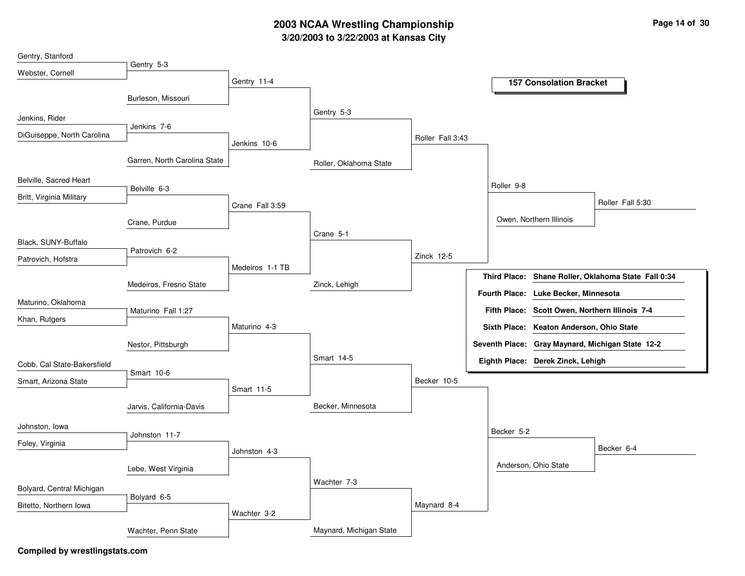# **3/20/2003 to 3/22/2003 at Kansas City 2003 NCAA Wrestling Championship Page <sup>14</sup> of <sup>30</sup>**

| Gentry, Stanford            |                              |                 |                         |                  |            |                                                |                                                     |
|-----------------------------|------------------------------|-----------------|-------------------------|------------------|------------|------------------------------------------------|-----------------------------------------------------|
| Webster, Cornell            | Gentry 5-3                   |                 |                         |                  |            |                                                |                                                     |
|                             |                              | Gentry 11-4     |                         |                  |            | <b>157 Consolation Bracket</b>                 |                                                     |
|                             | Burleson, Missouri           |                 |                         |                  |            |                                                |                                                     |
| Jenkins, Rider              |                              |                 | Gentry 5-3              |                  |            |                                                |                                                     |
| DiGuiseppe, North Carolina  | Jenkins 7-6                  |                 |                         | Roller Fall 3:43 |            |                                                |                                                     |
|                             |                              | Jenkins 10-6    |                         |                  |            |                                                |                                                     |
|                             | Garren, North Carolina State |                 | Roller, Oklahoma State  |                  |            |                                                |                                                     |
| Belville, Sacred Heart      | Belville 6-3                 |                 |                         |                  | Roller 9-8 |                                                |                                                     |
| Britt, Virginia Military    |                              | Crane Fall 3:59 |                         |                  |            |                                                | Roller Fall 5:30                                    |
|                             | Crane, Purdue                |                 |                         |                  |            | Owen, Northern Illinois                        |                                                     |
|                             |                              |                 | Crane 5-1               |                  |            |                                                |                                                     |
| Black, SUNY-Buffalo         | Patrovich 6-2                |                 |                         |                  |            |                                                |                                                     |
| Patrovich, Hofstra          |                              | Medeiros 1-1 TB |                         | Zinck 12-5       |            |                                                |                                                     |
|                             | Medeiros, Fresno State       |                 | Zinck, Lehigh           |                  |            |                                                | Third Place: Shane Roller, Oklahoma State Fall 0:34 |
| Maturino, Oklahoma          |                              |                 |                         |                  |            | Fourth Place: Luke Becker, Minnesota           |                                                     |
| Khan, Rutgers               | Maturino Fall 1:27           |                 |                         |                  |            | Fifth Place: Scott Owen, Northern Illinois 7-4 |                                                     |
|                             |                              | Maturino 4-3    |                         |                  |            | Sixth Place: Keaton Anderson, Ohio State       |                                                     |
|                             | Nestor, Pittsburgh           |                 |                         |                  |            |                                                | Seventh Place: Gray Maynard, Michigan State 12-2    |
| Cobb, Cal State-Bakersfield |                              |                 | Smart 14-5              |                  |            | Eighth Place: Derek Zinck, Lehigh              |                                                     |
| Smart, Arizona State        | Smart 10-6                   |                 |                         | Becker 10-5      |            |                                                |                                                     |
|                             |                              | Smart 11-5      |                         |                  |            |                                                |                                                     |
|                             | Jarvis, California-Davis     |                 | Becker, Minnesota       |                  |            |                                                |                                                     |
| Johnston, Iowa              |                              |                 |                         |                  | Becker 5-2 |                                                |                                                     |
| Foley, Virginia             | Johnston 11-7                |                 |                         |                  |            |                                                | Becker 6-4                                          |
|                             |                              | Johnston 4-3    |                         |                  |            |                                                |                                                     |
|                             | Lebe, West Virginia          |                 |                         |                  |            | Anderson, Ohio State                           |                                                     |
| Bolyard, Central Michigan   |                              |                 | Wachter 7-3             |                  |            |                                                |                                                     |
| Bitetto, Northern Iowa      | Bolyard 6-5                  |                 |                         | Maynard 8-4      |            |                                                |                                                     |
|                             |                              | Wachter 3-2     |                         |                  |            |                                                |                                                     |
|                             | Wachter, Penn State          |                 | Maynard, Michigan State |                  |            |                                                |                                                     |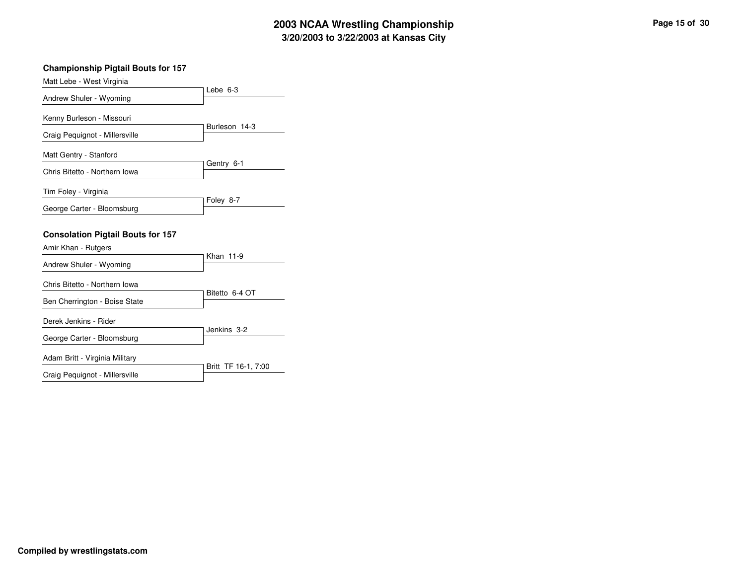# **3/20/2003 to 3/22/2003 at Kansas City 2003 NCAA Wrestling Championship Page <sup>15</sup> of <sup>30</sup>**

| <b>Championship Pigtail Bouts for 157</b> |                     |
|-------------------------------------------|---------------------|
| Matt Lebe - West Virginia                 |                     |
| Andrew Shuler - Wyoming                   | Lebe $6-3$          |
| Kenny Burleson - Missouri                 | Burleson 14-3       |
| Craig Pequignot - Millersville            |                     |
| Matt Gentry - Stanford                    |                     |
| Chris Bitetto - Northern Iowa             | Gentry 6-1          |
| Tim Foley - Virginia                      | Foley 8-7           |
| George Carter - Bloomsburg                |                     |
| <b>Consolation Pigtail Bouts for 157</b>  |                     |
| Amir Khan - Rutgers                       |                     |
| Andrew Shuler - Wyoming                   | Khan 11-9           |
| Chris Bitetto - Northern Iowa             |                     |
| Ben Cherrington - Boise State             | Bitetto 6-4 OT      |
| Derek Jenkins - Rider                     |                     |
| George Carter - Bloomsburg                | Jenkins 3-2         |
| Adam Britt - Virginia Military            |                     |
| Craig Pequignot - Millersville            | Britt TF 16-1, 7:00 |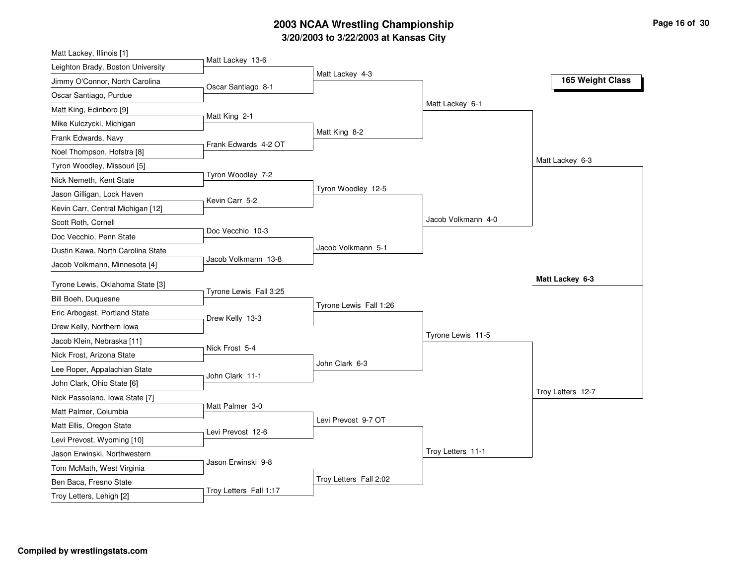# **3/20/2003 to 3/22/2003 at Kansas City 2003 NCAA Wrestling Championship Page <sup>16</sup> of <sup>30</sup>**

| Matt Lackey, Illinois [1]         |                        |                        |                    |                   |
|-----------------------------------|------------------------|------------------------|--------------------|-------------------|
| Leighton Brady, Boston University | Matt Lackey 13-6       |                        |                    |                   |
| Jimmy O'Connor, North Carolina    | Oscar Santiago 8-1     | Matt Lackey 4-3        |                    | 165 Weight Class  |
| Oscar Santiago, Purdue            |                        |                        |                    |                   |
| Matt King, Edinboro [9]           |                        |                        | Matt Lackey 6-1    |                   |
| Mike Kulczycki, Michigan          | Matt King 2-1          |                        |                    |                   |
| Frank Edwards, Navy               |                        | Matt King 8-2          |                    |                   |
| Noel Thompson, Hofstra [8]        | Frank Edwards 4-2 OT   |                        |                    |                   |
| Tyron Woodley, Missouri [5]       |                        |                        |                    | Matt Lackey 6-3   |
| Nick Nemeth, Kent State           | Tyron Woodley 7-2      |                        |                    |                   |
| Jason Gilligan, Lock Haven        |                        | Tyron Woodley 12-5     |                    |                   |
| Kevin Carr, Central Michigan [12] | Kevin Carr 5-2         |                        |                    |                   |
| Scott Roth, Cornell               |                        |                        | Jacob Volkmann 4-0 |                   |
| Doc Vecchio, Penn State           | Doc Vecchio 10-3       |                        |                    |                   |
| Dustin Kawa, North Carolina State |                        | Jacob Volkmann 5-1     |                    |                   |
| Jacob Volkmann, Minnesota [4]     | Jacob Volkmann 13-8    |                        |                    |                   |
| Tyrone Lewis, Oklahoma State [3]  |                        |                        |                    | Matt Lackey 6-3   |
| Bill Boeh, Duguesne               | Tyrone Lewis Fall 3:25 |                        |                    |                   |
| Eric Arbogast, Portland State     |                        | Tyrone Lewis Fall 1:26 |                    |                   |
| Drew Kelly, Northern Iowa         | Drew Kelly 13-3        |                        |                    |                   |
| Jacob Klein, Nebraska [11]        |                        |                        | Tyrone Lewis 11-5  |                   |
| Nick Frost, Arizona State         | Nick Frost 5-4         |                        |                    |                   |
| Lee Roper, Appalachian State      |                        | John Clark 6-3         |                    |                   |
| John Clark, Ohio State [6]        | John Clark 11-1        |                        |                    |                   |
| Nick Passolano, Iowa State [7]    |                        |                        |                    | Troy Letters 12-7 |
| Matt Palmer, Columbia             | Matt Palmer 3-0        |                        |                    |                   |
| Matt Ellis, Oregon State          |                        | Levi Prevost 9-7 OT    |                    |                   |
| Levi Prevost, Wyoming [10]        | Levi Prevost 12-6      |                        |                    |                   |
| Jason Erwinski, Northwestern      |                        |                        | Troy Letters 11-1  |                   |
| Tom McMath, West Virginia         | Jason Erwinski 9-8     |                        |                    |                   |
| Ben Baca, Fresno State            |                        | Troy Letters Fall 2:02 |                    |                   |
|                                   |                        |                        |                    |                   |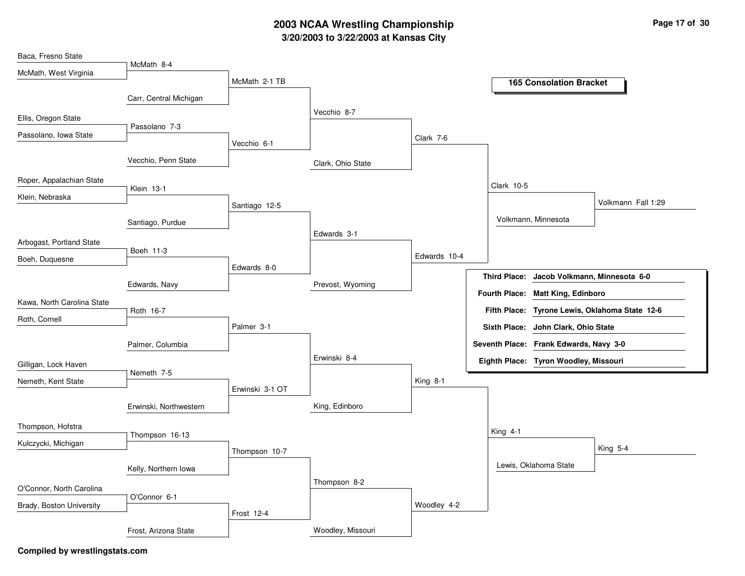## **3/20/2003 to 3/22/2003 at Kansas City 2003 NCAA Wrestling Championship Page <sup>17</sup> of <sup>30</sup>**

| Baca, Fresno State         |                        |                 |                   |              |                                        |                                                |
|----------------------------|------------------------|-----------------|-------------------|--------------|----------------------------------------|------------------------------------------------|
| McMath, West Virginia      | McMath 8-4             | McMath 2-1 TB   |                   |              |                                        |                                                |
|                            |                        |                 |                   |              | <b>165 Consolation Bracket</b>         |                                                |
|                            | Carr, Central Michigan |                 |                   |              |                                        |                                                |
| Ellis, Oregon State        |                        |                 | Vecchio 8-7       |              |                                        |                                                |
| Passolano, Iowa State      | Passolano 7-3          | Vecchio 6-1     |                   | Clark 7-6    |                                        |                                                |
|                            | Vecchio, Penn State    |                 |                   |              |                                        |                                                |
|                            |                        |                 | Clark, Ohio State |              |                                        |                                                |
| Roper, Appalachian State   | Klein 13-1             |                 |                   |              | Clark 10-5                             |                                                |
| Klein, Nebraska            |                        | Santiago 12-5   |                   |              |                                        | Volkmann Fall 1:29                             |
|                            |                        |                 |                   |              | Volkmann, Minnesota                    |                                                |
|                            | Santiago, Purdue       |                 | Edwards 3-1       |              |                                        |                                                |
| Arbogast, Portland State   |                        |                 |                   |              |                                        |                                                |
| Boeh, Duquesne             | Boeh 11-3              |                 |                   | Edwards 10-4 |                                        |                                                |
|                            |                        | Edwards 8-0     |                   |              | <b>Third Place:</b>                    | Jacob Volkmann, Minnesota 6-0                  |
|                            | Edwards, Navy          |                 | Prevost, Wyoming  |              | Fourth Place: Matt King, Edinboro      |                                                |
| Kawa, North Carolina State | Roth 16-7              |                 |                   |              |                                        | Fifth Place: Tyrone Lewis, Oklahoma State 12-6 |
| Roth, Cornell              |                        |                 |                   |              |                                        |                                                |
|                            |                        | Palmer 3-1      |                   |              | Sixth Place: John Clark, Ohio State    |                                                |
|                            | Palmer, Columbia       |                 |                   |              | Seventh Place: Frank Edwards, Navy 3-0 |                                                |
| Gilligan, Lock Haven       |                        |                 | Erwinski 8-4      |              | Eighth Place: Tyron Woodley, Missouri  |                                                |
| Nemeth, Kent State         | Nemeth 7-5             | Erwinski 3-1 OT |                   | King 8-1     |                                        |                                                |
|                            |                        |                 | King, Edinboro    |              |                                        |                                                |
|                            | Erwinski, Northwestern |                 |                   |              |                                        |                                                |
| Thompson, Hofstra          | Thompson 16-13         |                 |                   |              | King 4-1                               |                                                |
| Kulczycki, Michigan        |                        | Thompson 10-7   |                   |              |                                        | King 5-4                                       |
|                            |                        |                 |                   |              | Lewis, Oklahoma State                  |                                                |
|                            | Kelly, Northern Iowa   |                 |                   |              |                                        |                                                |
| O'Connor, North Carolina   |                        |                 | Thompson 8-2      |              |                                        |                                                |
| Brady, Boston University   | O'Connor 6-1           |                 |                   | Woodley 4-2  |                                        |                                                |
|                            |                        | Frost 12-4      |                   |              |                                        |                                                |
|                            | Frost, Arizona State   |                 | Woodley, Missouri |              |                                        |                                                |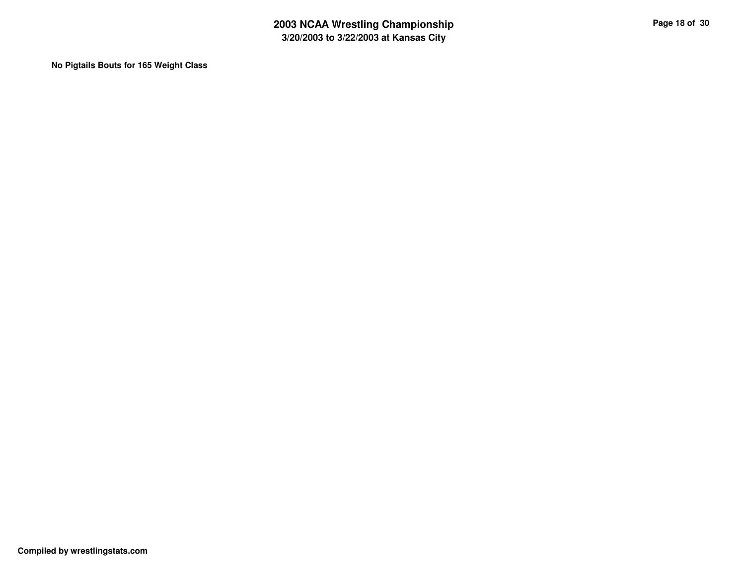**No Pigtails Bouts for 165 Weight Class**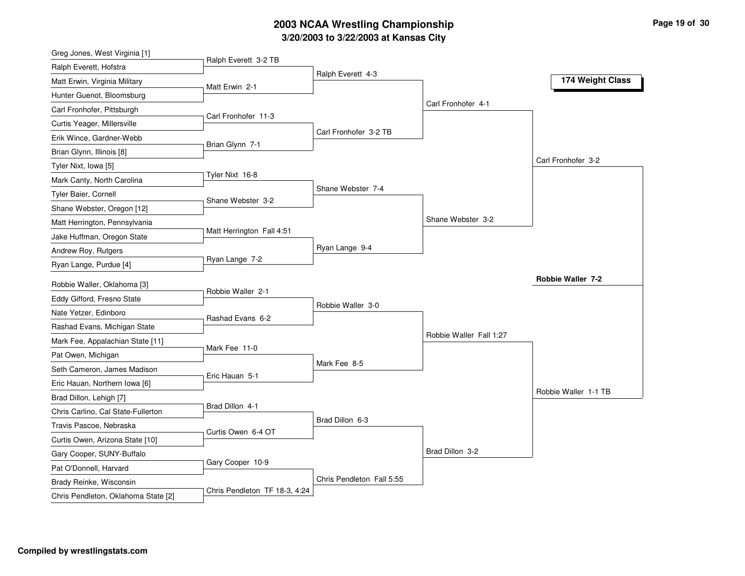### **3/20/2003 to 3/22/2003 at Kansas City 2003 NCAA Wrestling Championship Page <sup>19</sup> of <sup>30</sup>**

| Greg Jones, West Virginia [1]       |                               |                           |                         |                      |
|-------------------------------------|-------------------------------|---------------------------|-------------------------|----------------------|
| Ralph Everett, Hofstra              | Ralph Everett 3-2 TB          |                           |                         |                      |
| Matt Erwin, Virginia Military       | Matt Erwin 2-1                | Ralph Everett 4-3         |                         | 174 Weight Class     |
| Hunter Guenot, Bloomsburg           |                               |                           |                         |                      |
| Carl Fronhofer, Pittsburgh          |                               |                           | Carl Fronhofer 4-1      |                      |
| Curtis Yeager, Millersville         | Carl Fronhofer 11-3           |                           |                         |                      |
| Erik Wince, Gardner-Webb            |                               | Carl Fronhofer 3-2 TB     |                         |                      |
| Brian Glynn, Illinois [8]           | Brian Glynn 7-1               |                           |                         |                      |
| Tyler Nixt, Iowa [5]                |                               |                           |                         | Carl Fronhofer 3-2   |
| Mark Canty, North Carolina          | Tyler Nixt 16-8               |                           |                         |                      |
| Tyler Baier, Cornell                | Shane Webster 3-2             | Shane Webster 7-4         |                         |                      |
| Shane Webster, Oregon [12]          |                               |                           |                         |                      |
| Matt Herrington, Pennsylvania       |                               |                           | Shane Webster 3-2       |                      |
| Jake Huffman, Oregon State          | Matt Herrington Fall 4:51     |                           |                         |                      |
| Andrew Roy, Rutgers                 |                               | Ryan Lange 9-4            |                         |                      |
| Ryan Lange, Purdue [4]              | Ryan Lange 7-2                |                           |                         |                      |
| Robbie Waller, Oklahoma [3]         |                               |                           |                         | Robbie Waller 7-2    |
| Eddy Gifford, Fresno State          | Robbie Waller 2-1             |                           |                         |                      |
| Nate Yetzer, Edinboro               |                               | Robbie Waller 3-0         |                         |                      |
| Rashad Evans, Michigan State        | Rashad Evans 6-2              |                           |                         |                      |
| Mark Fee, Appalachian State [11]    |                               |                           | Robbie Waller Fall 1:27 |                      |
| Pat Owen, Michigan                  | Mark Fee 11-0                 |                           |                         |                      |
| Seth Cameron, James Madison         |                               | Mark Fee 8-5              |                         |                      |
| Eric Hauan, Northern Iowa [6]       | Eric Hauan 5-1                |                           |                         |                      |
| Brad Dillon, Lehigh [7]             |                               |                           |                         | Robbie Waller 1-1 TB |
| Chris Carlino, Cal State-Fullerton  | Brad Dillon 4-1               |                           |                         |                      |
| Travis Pascoe, Nebraska             |                               | Brad Dillon 6-3           |                         |                      |
| Curtis Owen, Arizona State [10]     | Curtis Owen 6-4 OT            |                           |                         |                      |
| Gary Cooper, SUNY-Buffalo           |                               |                           | Brad Dillon 3-2         |                      |
| Pat O'Donnell, Harvard              | Gary Cooper 10-9              |                           |                         |                      |
| Brady Reinke, Wisconsin             |                               | Chris Pendleton Fall 5:55 |                         |                      |
| Chris Pendleton, Oklahoma State [2] | Chris Pendleton TF 18-3, 4:24 |                           |                         |                      |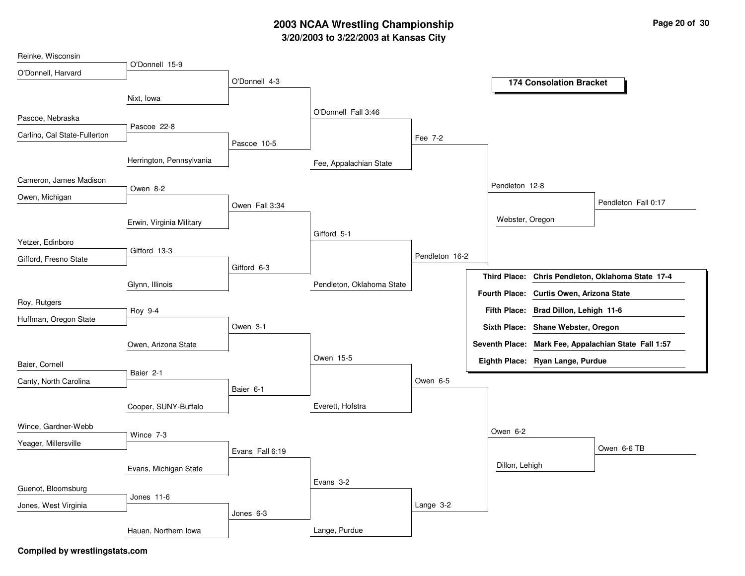## **3/20/2003 to 3/22/2003 at Kansas City 2003 NCAA Wrestling Championship Page <sup>20</sup> of <sup>30</sup>**

| Reinke, Wisconsin            |                          |                 |                           |                |                 |                                                                                               |
|------------------------------|--------------------------|-----------------|---------------------------|----------------|-----------------|-----------------------------------------------------------------------------------------------|
| O'Donnell, Harvard           | O'Donnell 15-9           |                 |                           |                |                 |                                                                                               |
|                              |                          | O'Donnell 4-3   |                           |                |                 | <b>174 Consolation Bracket</b>                                                                |
|                              | Nixt, Iowa               |                 |                           |                |                 |                                                                                               |
| Pascoe, Nebraska             |                          |                 | O'Donnell Fall 3:46       |                |                 |                                                                                               |
|                              | Pascoe 22-8              |                 |                           |                |                 |                                                                                               |
| Carlino, Cal State-Fullerton |                          | Pascoe 10-5     |                           | Fee 7-2        |                 |                                                                                               |
|                              | Herrington, Pennsylvania |                 | Fee, Appalachian State    |                |                 |                                                                                               |
| Cameron, James Madison       | Owen 8-2                 |                 |                           |                | Pendleton 12-8  |                                                                                               |
| Owen, Michigan               |                          |                 |                           |                |                 | Pendleton Fall 0:17                                                                           |
|                              |                          | Owen Fall 3:34  |                           |                |                 |                                                                                               |
|                              | Erwin, Virginia Military |                 |                           |                | Webster, Oregon |                                                                                               |
| Yetzer, Edinboro             |                          |                 | Gifford 5-1               |                |                 |                                                                                               |
| Gifford, Fresno State        | Gifford 13-3             |                 |                           | Pendleton 16-2 |                 |                                                                                               |
|                              |                          | Gifford 6-3     |                           |                |                 |                                                                                               |
|                              | Glynn, Illinois          |                 | Pendleton, Oklahoma State |                |                 | Third Place: Chris Pendleton, Oklahoma State 17-4<br>Fourth Place: Curtis Owen, Arizona State |
| Roy, Rutgers                 |                          |                 |                           |                |                 |                                                                                               |
| Huffman, Oregon State        | Roy 9-4                  |                 |                           |                |                 | Fifth Place: Brad Dillon, Lehigh 11-6                                                         |
|                              |                          | Owen 3-1        |                           |                |                 | Sixth Place: Shane Webster, Oregon                                                            |
|                              | Owen, Arizona State      |                 |                           |                |                 | Seventh Place: Mark Fee, Appalachian State Fall 1:57                                          |
| Baier, Cornell               |                          |                 | Owen 15-5                 |                |                 | Eighth Place: Ryan Lange, Purdue                                                              |
| Canty, North Carolina        | Baier 2-1                |                 |                           | Owen 6-5       |                 |                                                                                               |
|                              |                          | Baier 6-1       |                           |                |                 |                                                                                               |
|                              | Cooper, SUNY-Buffalo     |                 | Everett, Hofstra          |                |                 |                                                                                               |
| Wince, Gardner-Webb          |                          |                 |                           |                |                 |                                                                                               |
| Yeager, Millersville         | Wince 7-3                |                 |                           |                | Owen 6-2        |                                                                                               |
|                              |                          | Evans Fall 6:19 |                           |                |                 | Owen 6-6 TB                                                                                   |
|                              | Evans, Michigan State    |                 |                           |                | Dillon, Lehigh  |                                                                                               |
|                              |                          |                 | Evans 3-2                 |                |                 |                                                                                               |
| Guenot, Bloomsburg           | Jones 11-6               |                 |                           |                |                 |                                                                                               |
| Jones, West Virginia         |                          | Jones 6-3       |                           | Lange 3-2      |                 |                                                                                               |
|                              | Hauan, Northern Iowa     |                 | Lange, Purdue             |                |                 |                                                                                               |
|                              |                          |                 |                           |                |                 |                                                                                               |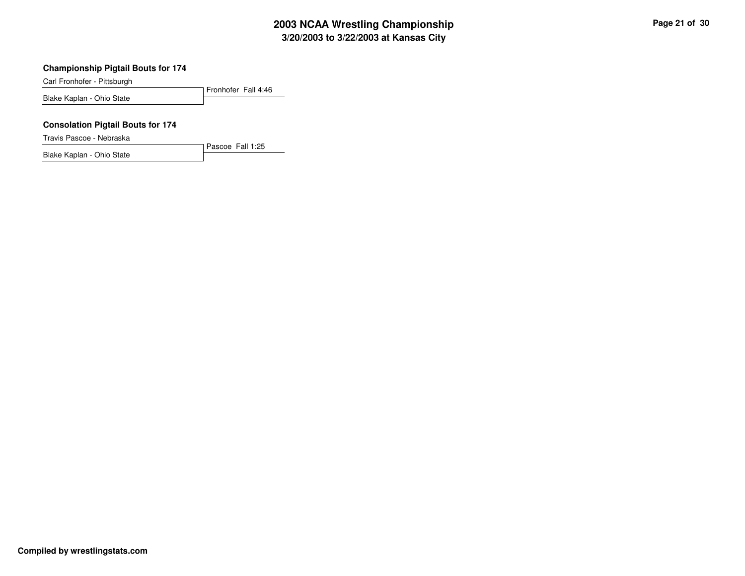# **3/20/2003 to 3/22/2003 at Kansas City 2003 NCAA Wrestling Championship Page <sup>21</sup> of <sup>30</sup>**

#### **Championship Pigtail Bouts for 174**

Carl Fronhofer - Pittsburgh

Fronhofer Fall 4:46 Blake Kaplan - Ohio State

Pascoe Fall 1:25

#### **Consolation Pigtail Bouts for 174**

Travis Pascoe - Nebraska

Blake Kaplan - Ohio State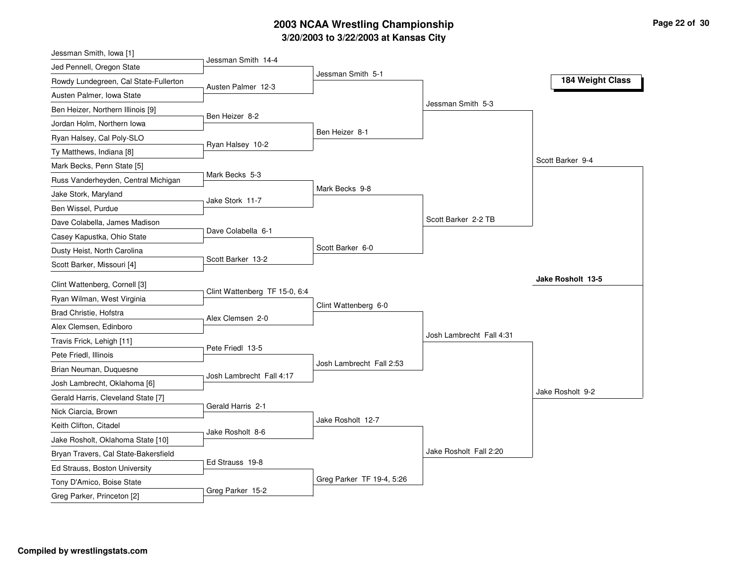# **3/20/2003 to 3/22/2003 at Kansas City 2003 NCAA Wrestling Championship Page <sup>22</sup> of <sup>30</sup>**

| Jessman Smith, Iowa [1]               |                               |                           |                          |                   |
|---------------------------------------|-------------------------------|---------------------------|--------------------------|-------------------|
| Jed Pennell, Oregon State             | Jessman Smith 14-4            |                           |                          |                   |
| Rowdy Lundegreen, Cal State-Fullerton | Austen Palmer 12-3            | Jessman Smith 5-1         |                          | 184 Weight Class  |
| Austen Palmer, Iowa State             |                               |                           |                          |                   |
| Ben Heizer, Northern Illinois [9]     |                               |                           | Jessman Smith 5-3        |                   |
| Jordan Holm, Northern Iowa            | Ben Heizer 8-2                |                           |                          |                   |
| Ryan Halsey, Cal Poly-SLO             |                               | Ben Heizer 8-1            |                          |                   |
| Ty Matthews, Indiana [8]              | Ryan Halsey 10-2              |                           |                          |                   |
| Mark Becks, Penn State [5]            |                               |                           |                          | Scott Barker 9-4  |
| Russ Vanderheyden, Central Michigan   | Mark Becks 5-3                |                           |                          |                   |
| Jake Stork, Maryland                  |                               | Mark Becks 9-8            |                          |                   |
| Ben Wissel, Purdue                    | Jake Stork 11-7               |                           |                          |                   |
| Dave Colabella, James Madison         |                               |                           | Scott Barker 2-2 TB      |                   |
| Casey Kapustka, Ohio State            | Dave Colabella 6-1            |                           |                          |                   |
| Dusty Heist, North Carolina           |                               | Scott Barker 6-0          |                          |                   |
| Scott Barker, Missouri [4]            | Scott Barker 13-2             |                           |                          |                   |
| Clint Wattenberg, Cornell [3]         |                               |                           |                          | Jake Rosholt 13-5 |
| Ryan Wilman, West Virginia            | Clint Wattenberg TF 15-0, 6:4 |                           |                          |                   |
| Brad Christie, Hofstra                |                               | Clint Wattenberg 6-0      |                          |                   |
| Alex Clemsen, Edinboro                | Alex Clemsen 2-0              |                           |                          |                   |
| Travis Frick, Lehigh [11]             |                               |                           | Josh Lambrecht Fall 4:31 |                   |
| Pete Friedl, Illinois                 | Pete Friedl 13-5              |                           |                          |                   |
| Brian Neuman, Duquesne                |                               | Josh Lambrecht Fall 2:53  |                          |                   |
| Josh Lambrecht, Oklahoma [6]          | Josh Lambrecht Fall 4:17      |                           |                          |                   |
| Gerald Harris, Cleveland State [7]    |                               |                           |                          | Jake Rosholt 9-2  |
| Nick Ciarcia, Brown                   | Gerald Harris 2-1             |                           |                          |                   |
| Keith Clifton, Citadel                |                               | Jake Rosholt 12-7         |                          |                   |
| Jake Rosholt, Oklahoma State [10]     | Jake Rosholt 8-6              |                           |                          |                   |
| Bryan Travers, Cal State-Bakersfield  |                               |                           | Jake Rosholt Fall 2:20   |                   |
| Ed Strauss, Boston University         | Ed Strauss 19-8               |                           |                          |                   |
| Tony D'Amico, Boise State             |                               | Greg Parker TF 19-4, 5:26 |                          |                   |
| Greg Parker, Princeton [2]            | Greg Parker 15-2              |                           |                          |                   |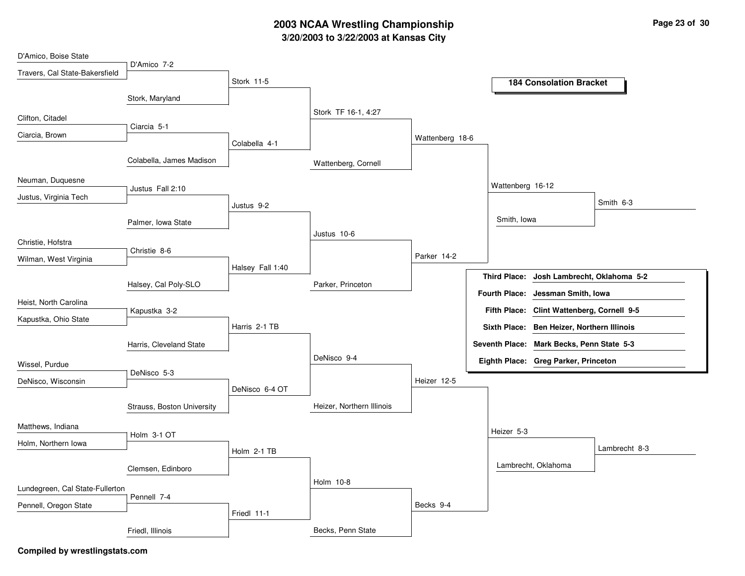## **3/20/2003 to 3/22/2003 at Kansas City 2003 NCAA Wrestling Championship Page <sup>23</sup> of <sup>30</sup>**

| D'Amico, Boise State            |                            |                  |                           |                 |                                                     |
|---------------------------------|----------------------------|------------------|---------------------------|-----------------|-----------------------------------------------------|
| Travers, Cal State-Bakersfield  | D'Amico 7-2                | Stork 11-5       |                           |                 |                                                     |
|                                 | Stork, Maryland            |                  |                           |                 | <b>184 Consolation Bracket</b>                      |
|                                 |                            |                  | Stork TF 16-1, 4:27       |                 |                                                     |
| Clifton, Citadel                | Ciarcia 5-1                |                  |                           |                 |                                                     |
| Ciarcia, Brown                  |                            | Colabella 4-1    |                           | Wattenberg 18-6 |                                                     |
|                                 |                            |                  |                           |                 |                                                     |
|                                 | Colabella, James Madison   |                  | Wattenberg, Cornell       |                 |                                                     |
| Neuman, Duquesne                | Justus Fall 2:10           |                  |                           |                 | Wattenberg 16-12                                    |
| Justus, Virginia Tech           |                            |                  |                           |                 | Smith 6-3                                           |
|                                 |                            | Justus 9-2       |                           |                 | Smith, Iowa                                         |
|                                 | Palmer, Iowa State         |                  | Justus 10-6               |                 |                                                     |
| Christie, Hofstra               | Christie 8-6               |                  |                           |                 |                                                     |
| Wilman, West Virginia           |                            |                  |                           | Parker 14-2     |                                                     |
|                                 |                            | Halsey Fall 1:40 |                           |                 | <b>Third Place:</b><br>Josh Lambrecht, Oklahoma 5-2 |
|                                 | Halsey, Cal Poly-SLO       |                  | Parker, Princeton         |                 | Fourth Place: Jessman Smith, Iowa                   |
| Heist, North Carolina           | Kapustka 3-2               |                  |                           |                 | Fifth Place: Clint Wattenberg, Cornell 9-5          |
| Kapustka, Ohio State            |                            | Harris 2-1 TB    |                           |                 | Sixth Place: Ben Heizer, Northern Illinois          |
|                                 |                            |                  |                           |                 |                                                     |
|                                 | Harris, Cleveland State    |                  | DeNisco 9-4               |                 | Seventh Place: Mark Becks, Penn State 5-3           |
| Wissel, Purdue                  | DeNisco 5-3                |                  |                           |                 | Eighth Place: Greg Parker, Princeton                |
| DeNisco, Wisconsin              |                            | DeNisco 6-4 OT   |                           | Heizer 12-5     |                                                     |
|                                 |                            |                  |                           |                 |                                                     |
|                                 | Strauss, Boston University |                  | Heizer, Northern Illinois |                 |                                                     |
| Matthews, Indiana               | Holm 3-1 OT                |                  |                           |                 | Heizer 5-3                                          |
| Holm, Northern Iowa             |                            |                  |                           |                 | Lambrecht 8-3                                       |
|                                 |                            | Holm 2-1 TB      |                           |                 | Lambrecht, Oklahoma                                 |
|                                 | Clemsen, Edinboro          |                  |                           |                 |                                                     |
| Lundegreen, Cal State-Fullerton |                            |                  | Holm 10-8                 |                 |                                                     |
| Pennell, Oregon State           | Pennell 7-4                |                  |                           | Becks 9-4       |                                                     |
|                                 |                            | Friedl 11-1      |                           |                 |                                                     |
|                                 | Friedl, Illinois           |                  | Becks, Penn State         |                 |                                                     |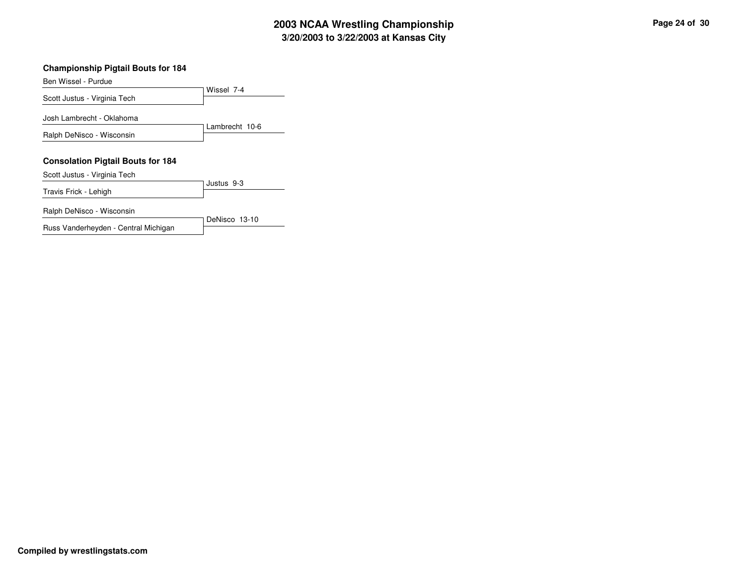# **3/20/2003 to 3/22/2003 at Kansas City 2003 NCAA Wrestling Championship Page <sup>24</sup> of <sup>30</sup>**

#### **Championship Pigtail Bouts for 184**

| Ben Wissel - Purdue                      |                |
|------------------------------------------|----------------|
|                                          | Wissel 7-4     |
| Scott Justus - Virginia Tech             |                |
| Josh Lambrecht - Oklahoma                |                |
|                                          | Lambrecht 10-6 |
| Ralph DeNisco - Wisconsin                |                |
| <b>Consolation Pigtail Bouts for 184</b> |                |
| Scott Justus - Virginia Tech             |                |
| Travis Frick - Lehigh                    | Justus 9-3     |
| Ralph DeNisco - Wisconsin                |                |
| Russ Vanderheyden - Central Michigan     | DeNisco 13-10  |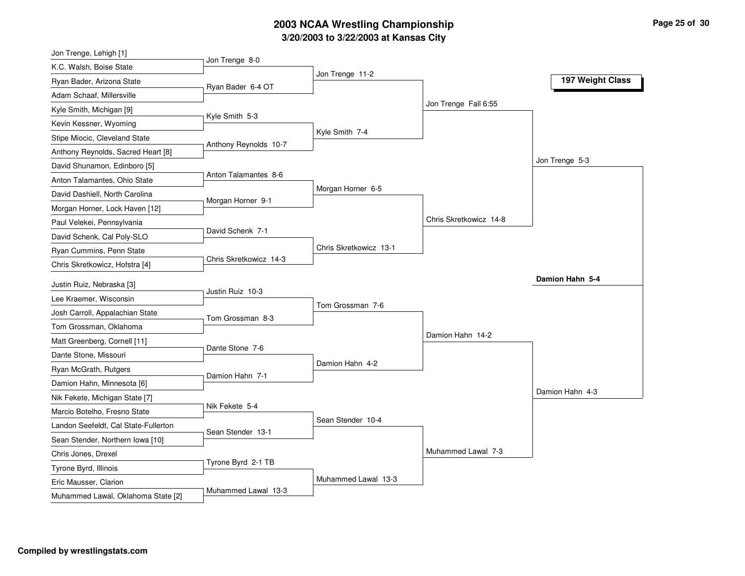# **3/20/2003 to 3/22/2003 at Kansas City 2003 NCAA Wrestling Championship Page <sup>25</sup> of <sup>30</sup>**

| Jon Trenge, Lehigh [1]                                      |                        |                        |                        |                  |
|-------------------------------------------------------------|------------------------|------------------------|------------------------|------------------|
| K.C. Walsh, Boise State                                     | Jon Trenge 8-0         |                        |                        |                  |
| Ryan Bader, Arizona State                                   | Ryan Bader 6-4 OT      | Jon Trenge 11-2        |                        | 197 Weight Class |
| Adam Schaaf, Millersville                                   |                        |                        |                        |                  |
| Kyle Smith, Michigan [9]                                    |                        |                        | Jon Trenge Fall 6:55   |                  |
| Kevin Kessner, Wyoming                                      | Kyle Smith 5-3         |                        |                        |                  |
| Stipe Miocic, Cleveland State                               |                        | Kyle Smith 7-4         |                        |                  |
| Anthony Reynolds, Sacred Heart [8]                          | Anthony Reynolds 10-7  |                        |                        |                  |
| David Shunamon, Edinboro [5]                                |                        |                        |                        | Jon Trenge 5-3   |
| Anton Talamantes, Ohio State                                | Anton Talamantes 8-6   |                        |                        |                  |
| David Dashiell, North Carolina                              |                        | Morgan Horner 6-5      |                        |                  |
| Morgan Horner, Lock Haven [12]                              | Morgan Horner 9-1      |                        |                        |                  |
| Paul Velekei, Pennsylvania                                  |                        |                        | Chris Skretkowicz 14-8 |                  |
| David Schenk, Cal Poly-SLO                                  | David Schenk 7-1       |                        |                        |                  |
| Ryan Cummins, Penn State                                    |                        | Chris Skretkowicz 13-1 |                        |                  |
| Chris Skretkowicz, Hofstra [4]                              | Chris Skretkowicz 14-3 |                        |                        |                  |
|                                                             |                        |                        |                        | Damion Hahn 5-4  |
| Justin Ruiz, Nebraska [3]<br>Lee Kraemer, Wisconsin         | Justin Ruiz 10-3       |                        |                        |                  |
|                                                             |                        |                        |                        |                  |
|                                                             |                        | Tom Grossman 7-6       |                        |                  |
| Josh Carroll, Appalachian State                             | Tom Grossman 8-3       |                        |                        |                  |
| Tom Grossman, Oklahoma                                      |                        |                        | Damion Hahn 14-2       |                  |
| Matt Greenberg, Cornell [11]                                | Dante Stone 7-6        |                        |                        |                  |
| Dante Stone, Missouri                                       |                        | Damion Hahn 4-2        |                        |                  |
| Ryan McGrath, Rutgers                                       | Damion Hahn 7-1        |                        |                        |                  |
| Damion Hahn, Minnesota [6]                                  |                        |                        |                        | Damion Hahn 4-3  |
| Nik Fekete, Michigan State [7]                              | Nik Fekete 5-4         |                        |                        |                  |
| Marcio Botelho, Fresno State                                |                        | Sean Stender 10-4      |                        |                  |
| Landon Seefeldt, Cal State-Fullerton                        | Sean Stender 13-1      |                        |                        |                  |
| Sean Stender, Northern Iowa [10]                            |                        |                        |                        |                  |
| Chris Jones, Drexel                                         |                        |                        | Muhammed Lawal 7-3     |                  |
| Tyrone Byrd, Illinois                                       | Tyrone Byrd 2-1 TB     |                        |                        |                  |
| Eric Mausser, Clarion<br>Muhammed Lawal, Oklahoma State [2] | Muhammed Lawal 13-3    | Muhammed Lawal 13-3    |                        |                  |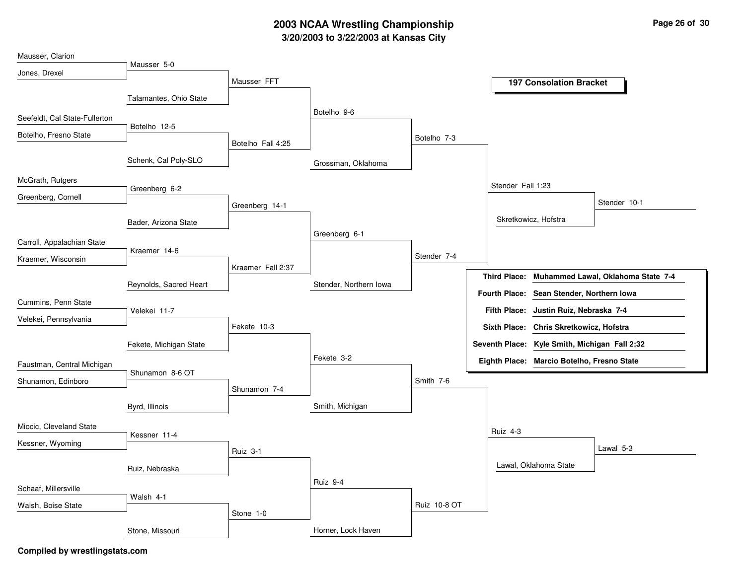# **3/20/2003 to 3/22/2003 at Kansas City 2003 NCAA Wrestling Championship Page <sup>26</sup> of <sup>30</sup>**

| Mausser, Clarion              |                        |                   |                        |              |                      |                                               |                                    |
|-------------------------------|------------------------|-------------------|------------------------|--------------|----------------------|-----------------------------------------------|------------------------------------|
| Jones, Drexel                 | Mausser 5-0            |                   |                        |              |                      |                                               |                                    |
|                               |                        | Mausser FFT       |                        |              |                      | <b>197 Consolation Bracket</b>                |                                    |
|                               | Talamantes, Ohio State |                   |                        |              |                      |                                               |                                    |
| Seefeldt, Cal State-Fullerton |                        |                   | Botelho 9-6            |              |                      |                                               |                                    |
| Botelho, Fresno State         | Botelho 12-5           |                   |                        | Botelho 7-3  |                      |                                               |                                    |
|                               |                        | Botelho Fall 4:25 |                        |              |                      |                                               |                                    |
|                               | Schenk, Cal Poly-SLO   |                   | Grossman, Oklahoma     |              |                      |                                               |                                    |
| McGrath, Rutgers              | Greenberg 6-2          |                   |                        |              | Stender Fall 1:23    |                                               |                                    |
| Greenberg, Cornell            |                        | Greenberg 14-1    |                        |              |                      |                                               | Stender 10-1                       |
|                               |                        |                   |                        |              |                      | Skretkowicz, Hofstra                          |                                    |
|                               | Bader, Arizona State   |                   | Greenberg 6-1          |              |                      |                                               |                                    |
| Carroll, Appalachian State    | Kraemer 14-6           |                   |                        |              |                      |                                               |                                    |
| Kraemer, Wisconsin            |                        |                   |                        | Stender 7-4  |                      |                                               |                                    |
|                               |                        | Kraemer Fall 2:37 |                        |              | <b>Third Place:</b>  |                                               | Muhammed Lawal, Oklahoma State 7-4 |
|                               | Reynolds, Sacred Heart |                   | Stender, Northern Iowa |              | <b>Fourth Place:</b> | Sean Stender, Northern Iowa                   |                                    |
| Cummins, Penn State           | Velekei 11-7           |                   |                        |              |                      | Fifth Place: Justin Ruiz, Nebraska 7-4        |                                    |
| Velekei, Pennsylvania         |                        | Fekete 10-3       |                        |              |                      | Sixth Place: Chris Skretkowicz, Hofstra       |                                    |
|                               | Fekete, Michigan State |                   |                        |              |                      | Seventh Place: Kyle Smith, Michigan Fall 2:32 |                                    |
|                               |                        |                   | Fekete 3-2             |              |                      | Eighth Place: Marcio Botelho, Fresno State    |                                    |
| Faustman, Central Michigan    | Shunamon 8-6 OT        |                   |                        |              |                      |                                               |                                    |
| Shunamon, Edinboro            |                        | Shunamon 7-4      |                        | Smith 7-6    |                      |                                               |                                    |
|                               | Byrd, Illinois         |                   | Smith, Michigan        |              |                      |                                               |                                    |
| Miocic, Cleveland State       |                        |                   |                        |              |                      |                                               |                                    |
| Kessner, Wyoming              | Kessner 11-4           |                   |                        |              | Ruiz 4-3             |                                               |                                    |
|                               |                        | Ruiz 3-1          |                        |              |                      |                                               | Lawal 5-3                          |
|                               | Ruiz, Nebraska         |                   |                        |              |                      | Lawal, Oklahoma State                         |                                    |
| Schaaf, Millersville          |                        |                   | Ruiz 9-4               |              |                      |                                               |                                    |
| Walsh, Boise State            | Walsh 4-1              |                   |                        | Ruiz 10-8 OT |                      |                                               |                                    |
|                               |                        | Stone 1-0         |                        |              |                      |                                               |                                    |
|                               | Stone, Missouri        |                   | Horner, Lock Haven     |              |                      |                                               |                                    |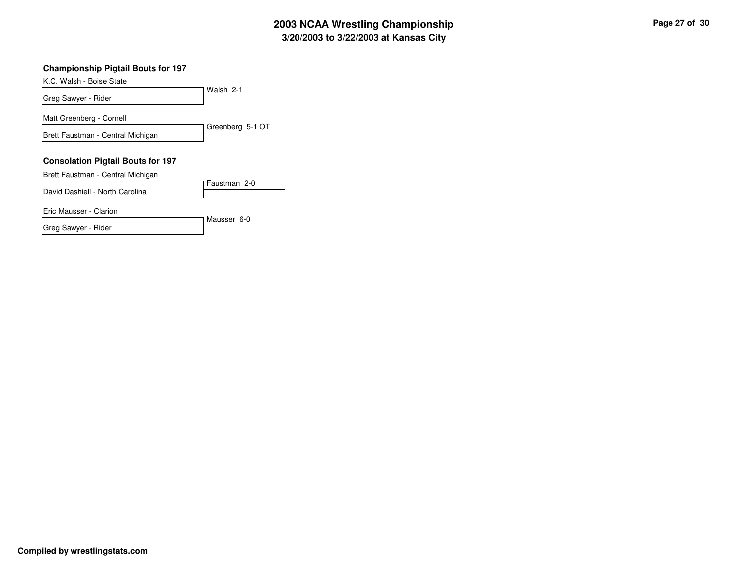# **3/20/2003 to 3/22/2003 at Kansas City 2003 NCAA Wrestling Championship Page <sup>27</sup> of <sup>30</sup>**

#### **Championship Pigtail Bouts for 197**

| K.C. Walsh - Boise State                 |                  |
|------------------------------------------|------------------|
|                                          | Walsh 2-1        |
| Greg Sawyer - Rider                      |                  |
| Matt Greenberg - Cornell                 |                  |
| Brett Faustman - Central Michigan        | Greenberg 5-1 OT |
|                                          |                  |
| <b>Consolation Pigtail Bouts for 197</b> |                  |
| Brett Faustman - Central Michigan        |                  |
| David Dashiell - North Carolina          | Faustman 2-0     |
| Eric Mausser - Clarion                   |                  |
|                                          | Mausser 6-0      |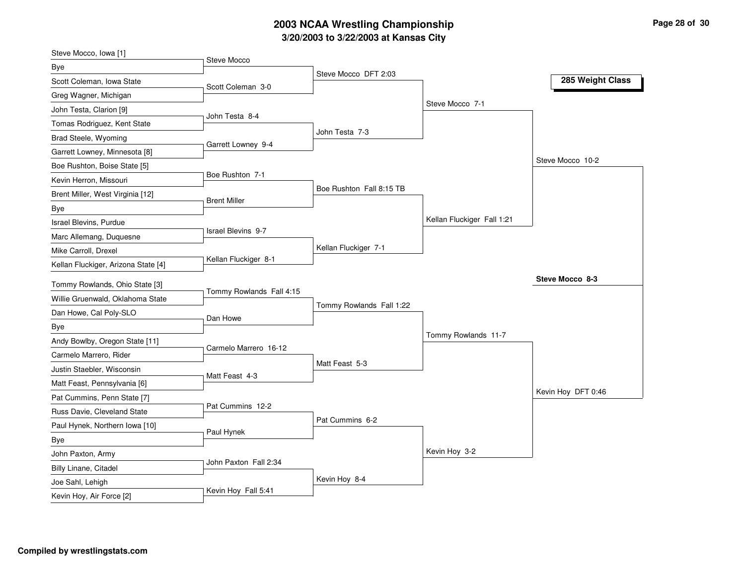# **3/20/2003 to 3/22/2003 at Kansas City 2003 NCAA Wrestling Championship Page <sup>28</sup> of <sup>30</sup>**

| Steve Mocco, Iowa [1]               |                           |                          |                            |                    |
|-------------------------------------|---------------------------|--------------------------|----------------------------|--------------------|
| Bye                                 | Steve Mocco               |                          |                            |                    |
| Scott Coleman, Iowa State           | Scott Coleman 3-0         | Steve Mocco DFT 2:03     |                            | 285 Weight Class   |
| Greg Wagner, Michigan               |                           |                          |                            |                    |
| John Testa, Clarion [9]             |                           |                          | Steve Mocco 7-1            |                    |
| Tomas Rodriguez, Kent State         | John Testa 8-4            |                          |                            |                    |
| Brad Steele, Wyoming                |                           | John Testa 7-3           |                            |                    |
| Garrett Lowney, Minnesota [8]       | Garrett Lowney 9-4        |                          |                            |                    |
| Boe Rushton, Boise State [5]        |                           |                          |                            | Steve Mocco 10-2   |
| Kevin Herron, Missouri              | Boe Rushton 7-1           |                          |                            |                    |
| Brent Miller, West Virginia [12]    |                           | Boe Rushton Fall 8:15 TB |                            |                    |
| Bye                                 | <b>Brent Miller</b>       |                          |                            |                    |
| Israel Blevins, Purdue              |                           |                          | Kellan Fluckiger Fall 1:21 |                    |
| Marc Allemang, Duquesne             | <b>Israel Blevins 9-7</b> |                          |                            |                    |
| Mike Carroll, Drexel                |                           | Kellan Fluckiger 7-1     |                            |                    |
| Kellan Fluckiger, Arizona State [4] | Kellan Fluckiger 8-1      |                          |                            |                    |
|                                     |                           |                          |                            |                    |
|                                     |                           |                          |                            | Steve Mocco 8-3    |
| Tommy Rowlands, Ohio State [3]      | Tommy Rowlands Fall 4:15  |                          |                            |                    |
| Willie Gruenwald, Oklahoma State    |                           | Tommy Rowlands Fall 1:22 |                            |                    |
| Dan Howe, Cal Poly-SLO              | Dan Howe                  |                          |                            |                    |
| Bye                                 |                           |                          | Tommy Rowlands 11-7        |                    |
| Andy Bowlby, Oregon State [11]      | Carmelo Marrero 16-12     |                          |                            |                    |
| Carmelo Marrero, Rider              |                           | Matt Feast 5-3           |                            |                    |
| Justin Staebler, Wisconsin          | Matt Feast 4-3            |                          |                            |                    |
| Matt Feast, Pennsylvania [6]        |                           |                          |                            |                    |
| Pat Cummins, Penn State [7]         | Pat Cummins 12-2          |                          |                            | Kevin Hoy DFT 0:46 |
| Russ Davie, Cleveland State         |                           | Pat Cummins 6-2          |                            |                    |
| Paul Hynek, Northern Iowa [10]      | Paul Hynek                |                          |                            |                    |
| Bye                                 |                           |                          |                            |                    |
| John Paxton, Army                   |                           |                          | Kevin Hoy 3-2              |                    |
| Billy Linane, Citadel               | John Paxton Fall 2:34     |                          |                            |                    |
| Joe Sahl, Lehigh                    | Kevin Hoy Fall 5:41       | Kevin Hoy 8-4            |                            |                    |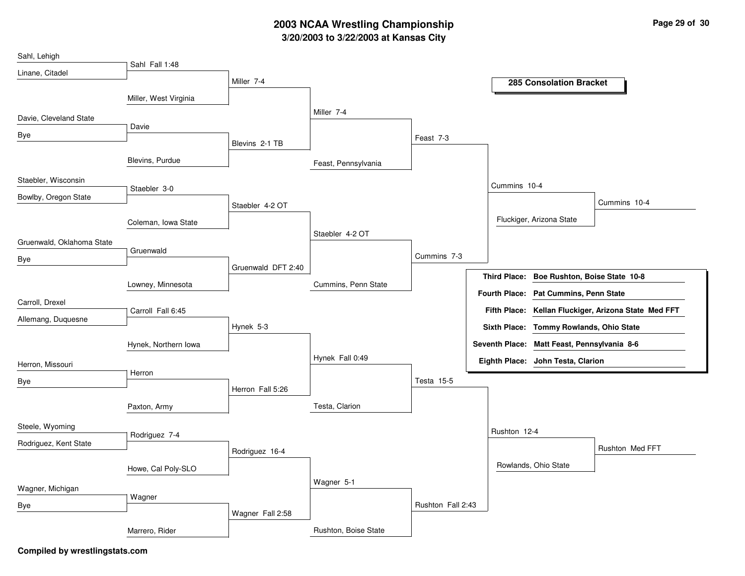# **3/20/2003 to 3/22/2003 at Kansas City 2003 NCAA Wrestling Championship Page <sup>29</sup> of <sup>30</sup>**

| Sahl, Lehigh              |                       |                    |                      |                   |                     |                                             |                                                      |
|---------------------------|-----------------------|--------------------|----------------------|-------------------|---------------------|---------------------------------------------|------------------------------------------------------|
| Linane, Citadel           | Sahl Fall 1:48        |                    |                      |                   |                     |                                             |                                                      |
|                           |                       | Miller 7-4         |                      |                   |                     | <b>285 Consolation Bracket</b>              |                                                      |
|                           | Miller, West Virginia |                    |                      |                   |                     |                                             |                                                      |
| Davie, Cleveland State    |                       |                    | Miller 7-4           |                   |                     |                                             |                                                      |
| Bye                       | Davie                 |                    |                      |                   |                     |                                             |                                                      |
|                           |                       | Blevins 2-1 TB     |                      | Feast 7-3         |                     |                                             |                                                      |
|                           | Blevins, Purdue       |                    | Feast, Pennsylvania  |                   |                     |                                             |                                                      |
| Staebler, Wisconsin       |                       |                    |                      |                   |                     |                                             |                                                      |
| Bowlby, Oregon State      | Staebler 3-0          |                    |                      |                   | Cummins 10-4        |                                             |                                                      |
|                           |                       | Staebler 4-2 OT    |                      |                   |                     |                                             | Cummins 10-4                                         |
|                           | Coleman, Iowa State   |                    |                      |                   |                     | Fluckiger, Arizona State                    |                                                      |
| Gruenwald, Oklahoma State |                       |                    | Staebler 4-2 OT      |                   |                     |                                             |                                                      |
|                           | Gruenwald             |                    |                      | Cummins 7-3       |                     |                                             |                                                      |
| Bye                       |                       | Gruenwald DFT 2:40 |                      |                   |                     |                                             |                                                      |
|                           | Lowney, Minnesota     |                    | Cummins, Penn State  |                   | <b>Third Place:</b> | Boe Rushton, Boise State 10-8               |                                                      |
| Carroll, Drexel           |                       |                    |                      |                   |                     | Fourth Place: Pat Cummins, Penn State       |                                                      |
|                           | Carroll Fall 6:45     |                    |                      |                   |                     |                                             | Fifth Place: Kellan Fluckiger, Arizona State Med FFT |
| Allemang, Duquesne        |                       | Hynek 5-3          |                      |                   |                     | Sixth Place: Tommy Rowlands, Ohio State     |                                                      |
|                           | Hynek, Northern Iowa  |                    |                      |                   |                     | Seventh Place: Matt Feast, Pennsylvania 8-6 |                                                      |
|                           |                       |                    | Hynek Fall 0:49      |                   |                     | Eighth Place: John Testa, Clarion           |                                                      |
| Herron, Missouri          | Herron                |                    |                      |                   |                     |                                             |                                                      |
| Bye                       |                       | Herron Fall 5:26   |                      | Testa 15-5        |                     |                                             |                                                      |
|                           | Paxton, Army          |                    | Testa, Clarion       |                   |                     |                                             |                                                      |
|                           |                       |                    |                      |                   |                     |                                             |                                                      |
| Steele, Wyoming           | Rodriguez 7-4         |                    |                      |                   | Rushton 12-4        |                                             |                                                      |
| Rodriguez, Kent State     |                       | Rodriguez 16-4     |                      |                   |                     |                                             | Rushton Med FFT                                      |
|                           |                       |                    |                      |                   |                     | Rowlands, Ohio State                        |                                                      |
|                           | Howe, Cal Poly-SLO    |                    |                      |                   |                     |                                             |                                                      |
| Wagner, Michigan          |                       |                    | Wagner 5-1           |                   |                     |                                             |                                                      |
| Bye                       | Wagner                |                    |                      | Rushton Fall 2:43 |                     |                                             |                                                      |
|                           |                       | Wagner Fall 2:58   |                      |                   |                     |                                             |                                                      |
|                           | Marrero, Rider        |                    | Rushton, Boise State |                   |                     |                                             |                                                      |